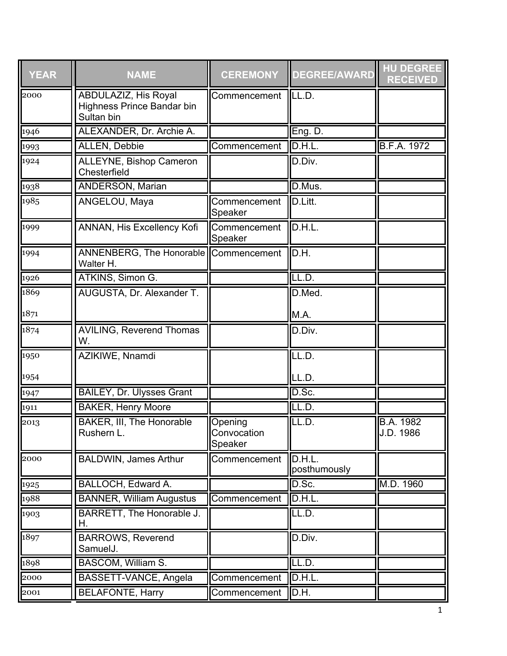| <b>YEAR</b>            | <b>NAME</b>                                                      | <b>CEREMONY</b>                   | <b>DEGREE/AWARD</b>    | <b>HU DEGREE</b><br><b>RECEIVED</b> |
|------------------------|------------------------------------------------------------------|-----------------------------------|------------------------|-------------------------------------|
| 2000                   | ABDULAZIZ, His Royal<br>Highness Prince Bandar bin<br>Sultan bin | Commencement                      | LL.D.                  |                                     |
| 1946                   | ALEXANDER, Dr. Archie A.                                         |                                   | Eng. D.                |                                     |
| 1993                   | <b>ALLEN, Debbie</b>                                             | Commencement                      | D.H.L.                 | <b>B.F.A. 1972</b>                  |
| 1924                   | ALLEYNE, Bishop Cameron<br>Chesterfield                          |                                   | D.Div.                 |                                     |
| 1938                   | <b>ANDERSON, Marian</b>                                          |                                   | D.Mus.                 |                                     |
| 1985                   | ANGELOU, Maya                                                    | Commencement<br>Speaker           | D.Litt.                |                                     |
| 1999                   | ANNAN, His Excellency Kofi                                       | Commencement<br>Speaker           | D.H.L.                 |                                     |
| 1994                   | ANNENBERG, The Honorable Commencement<br>Walter H.               |                                   | D.H.                   |                                     |
| 1926                   | ATKINS, Simon G.                                                 |                                   | LL.D.                  |                                     |
| 1869                   | AUGUSTA, Dr. Alexander T.                                        |                                   | D.Med.                 |                                     |
| 1871                   |                                                                  |                                   | M.A.                   |                                     |
| 1874                   | <b>AVILING, Reverend Thomas</b><br>W.                            |                                   | D.Div.                 |                                     |
| 1950                   | AZIKIWE, Nnamdi                                                  |                                   | LL.D.                  |                                     |
| 1954                   |                                                                  |                                   | LL.D.                  |                                     |
| 1947                   | <b>BAILEY, Dr. Ulysses Grant</b>                                 |                                   | D.Sc.                  |                                     |
| $\eta$ <sub>1911</sub> | <b>BAKER, Henry Moore</b>                                        |                                   | LL.D.                  |                                     |
| 2013                   | <b>BAKER, III, The Honorable</b><br>Rushern L.                   | Opening<br>Convocation<br>Speaker | LL.D.                  | <b>B.A. 1982</b><br>J.D. 1986       |
| 2000                   | <b>BALDWIN, James Arthur</b>                                     | Commencement                      | D.H.L.<br>posthumously |                                     |
| 1925                   | BALLOCH, Edward A.                                               |                                   | D.Sc.                  | M.D. 1960                           |
| 1988                   | <b>BANNER, William Augustus</b>                                  | Commencement                      | D.H.L.                 |                                     |
| 1903                   | BARRETT, The Honorable J.<br>Η.                                  |                                   | LL.D.                  |                                     |
| 1897                   | <b>BARROWS, Reverend</b><br>SamuelJ.                             |                                   | D.Div.                 |                                     |
| 1898                   | BASCOM, William S.                                               |                                   | LL.D.                  |                                     |
| 2000                   | BASSETT-VANCE, Angela                                            | Commencement                      | D.H.L.                 |                                     |
| 2001                   | <b>BELAFONTE, Harry</b>                                          | Commencement                      | D.H.                   |                                     |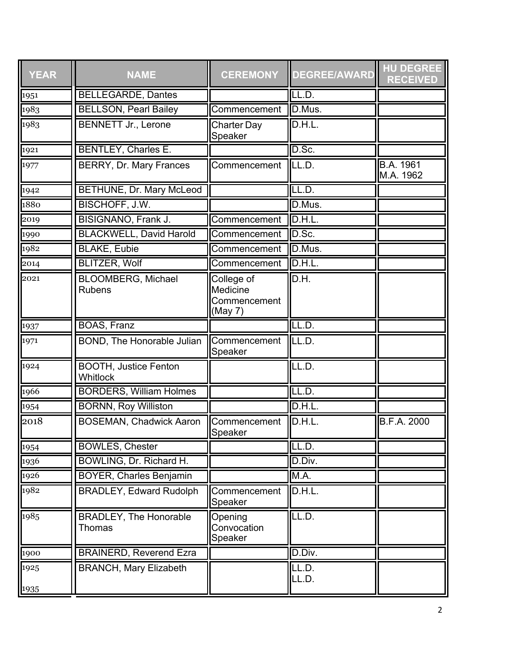| <b>YEAR</b>  | <b>NAME</b>                                | <b>CEREMONY</b>                                          | <b>DEGREE/AWARD</b> | <b>HU DEGREE</b><br><b>RECEIVED</b> |
|--------------|--------------------------------------------|----------------------------------------------------------|---------------------|-------------------------------------|
| 1951         | <b>BELLEGARDE, Dantes</b>                  |                                                          | LL.D.               |                                     |
| 1983         | <b>BELLSON, Pearl Bailey</b>               | Commencement                                             | D.Mus.              |                                     |
| 1983         | <b>BENNETT Jr., Lerone</b>                 | <b>Charter Day</b><br>Speaker                            | D.H.L.              |                                     |
| 1921         | BENTLEY, Charles E.                        |                                                          | D.Sc.               |                                     |
| 1977         | BERRY, Dr. Mary Frances                    | Commencement                                             | LL.D.               | B.A. 1961<br>M.A. 1962              |
| 1942         | <b>BETHUNE, Dr. Mary McLeod</b>            |                                                          | LL.D.               |                                     |
| 1880         | <b>BISCHOFF, J.W.</b>                      |                                                          | D.Mus.              |                                     |
| 2019         | <b>BISIGNANO, Frank J.</b>                 | Commencement                                             | D.H.L.              |                                     |
| 1990         | <b>BLACKWELL, David Harold</b>             | Commencement                                             | D.Sc.               |                                     |
| 1982         | <b>BLAKE, Eubie</b>                        | Commencement                                             | D.Mus.              |                                     |
| 2014         | <b>BLITZER, Wolf</b>                       | Commencement                                             | D.H.L.              |                                     |
| 2021         | <b>BLOOMBERG, Michael</b><br><b>Rubens</b> | College of<br><b>Medicine</b><br>Commencement<br>(May 7) | D.H.                |                                     |
| 1937         | <b>BOAS, Franz</b>                         |                                                          | LL.D.               |                                     |
| 1971         | <b>BOND, The Honorable Julian</b>          | Commencement<br>Speaker                                  | LL.D.               |                                     |
| 1924         | <b>BOOTH, Justice Fenton</b><br>Whitlock   |                                                          | LL.D.               |                                     |
| 1966         | <b>BORDERS, William Holmes</b>             |                                                          | LL.D.               |                                     |
| 1954         | <b>BORNN, Roy Williston</b>                |                                                          | D.H.L.              |                                     |
| 2018         | <b>BOSEMAN, Chadwick Aaron</b>             | Commencement<br>Speaker                                  | D.H.L.              | <b>B.F.A. 2000</b>                  |
| 1954         | <b>BOWLES, Chester</b>                     |                                                          | LL.D.               |                                     |
| 1936         | BOWLING, Dr. Richard H.                    |                                                          | D.Div.              |                                     |
| 1926         | <b>BOYER, Charles Benjamin</b>             |                                                          | M.A.                |                                     |
| 1982         | <b>BRADLEY, Edward Rudolph</b>             | Commencement<br>Speaker                                  | D.H.L.              |                                     |
| 1985         | <b>BRADLEY, The Honorable</b><br>Thomas    | Opening<br>Convocation<br>Speaker                        | LL.D.               |                                     |
| 1900         | <b>BRAINERD, Reverend Ezra</b>             |                                                          | D.Div.              |                                     |
| 1925<br>1935 | <b>BRANCH, Mary Elizabeth</b>              |                                                          | LL.D.<br>LL.D.      |                                     |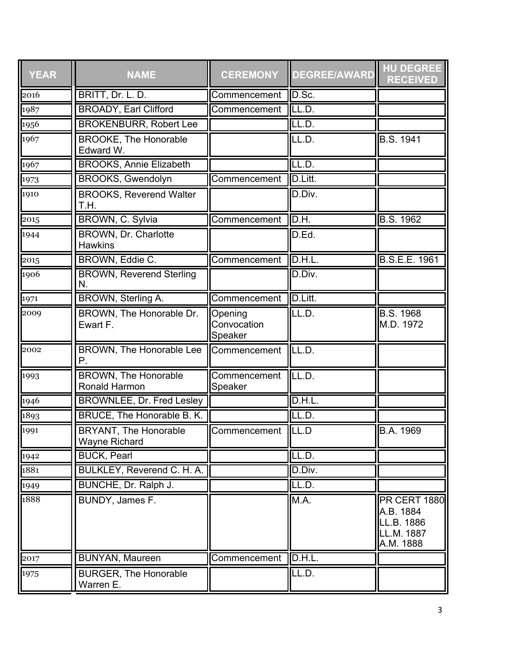| <b>YEAR</b> | <b>NAME</b>                                         | <b>CEREMONY</b>                   | <b>DEGREE/AWARD</b> | <b>HU DEGREE</b><br><b>RECEIVED</b>                                       |
|-------------|-----------------------------------------------------|-----------------------------------|---------------------|---------------------------------------------------------------------------|
| 2016        | BRITT, Dr. L. D.                                    | Commencement                      | D.Sc.               |                                                                           |
| 1987        | <b>BROADY, Earl Clifford</b>                        | Commencement                      | ILL.D.              |                                                                           |
| 1956        | <b>BROKENBURR, Robert Lee</b>                       |                                   | LL.D.               |                                                                           |
| 1967        | <b>BROOKE, The Honorable</b><br>Edward W.           |                                   | LL.D.               | B.S. 1941                                                                 |
| 1967        | <b>BROOKS, Annie Elizabeth</b>                      |                                   | LL.D.               |                                                                           |
| 1973        | <b>BROOKS, Gwendolyn</b>                            | Commencement                      | D.Litt.             |                                                                           |
| 1910        | <b>BROOKS, Reverend Walter</b><br>T.H.              |                                   | D.Div.              |                                                                           |
| 2015        | <b>BROWN, C. Sylvia</b>                             | Commencement                      | D.H.                | <b>B.S. 1962</b>                                                          |
| 1944        | <b>BROWN, Dr. Charlotte</b><br><b>Hawkins</b>       |                                   | D.Ed.               |                                                                           |
| 2015        | <b>BROWN, Eddie C.</b>                              | Commencement                      | D.H.L.              | <b>B.S.E.E. 1961</b>                                                      |
| 1906        | <b>BROWN, Reverend Sterling</b><br>Ν.               |                                   | D.Div.              |                                                                           |
| 1971        | <b>BROWN, Sterling A.</b>                           | Commencement                      | D.Litt.             |                                                                           |
| 2009        | BROWN, The Honorable Dr.<br>Ewart F.                | Opening<br>Convocation<br>Speaker | LL.D.               | $\overline{B.S.}$ 1968<br>M.D. 1972                                       |
| 2002        | BROWN, The Honorable Lee<br>P.                      | Commencement                      | LL.D.               |                                                                           |
| 1993        | <b>BROWN, The Honorable</b><br><b>Ronald Harmon</b> | Commencement<br>Speaker           | LL.D.               |                                                                           |
| 1946        | <b>BROWNLEE, Dr. Fred Lesley</b>                    |                                   | D.H.L               |                                                                           |
| 1893        | <b>BRUCE, The Honorable B. K.</b>                   |                                   | LL.D.               |                                                                           |
| 1991        | <b>BRYANT, The Honorable</b><br>Wayne Richard       | Commencement                      | $\overline{I LL.D}$ | B.A. 1969                                                                 |
| 1942        | <b>BUCK, Pearl</b>                                  |                                   | LL.D.               |                                                                           |
| 1881        | <b>BULKLEY, Reverend C. H. A.</b>                   |                                   | D.Div.              |                                                                           |
| 1949        | BUNCHE, Dr. Ralph J.                                |                                   | LL.D.               |                                                                           |
| 1888        | BUNDY, James F.                                     |                                   | M.A.                | <b>PR CERT 1880</b><br>A.B. 1884<br>LL.B. 1886<br>LL.M. 1887<br>A.M. 1888 |
| 2017        | <b>BUNYAN, Maureen</b>                              | Commencement                      | D.H.L.              |                                                                           |
| 1975        | <b>BURGER, The Honorable</b><br>Warren E.           |                                   | LL.D.               |                                                                           |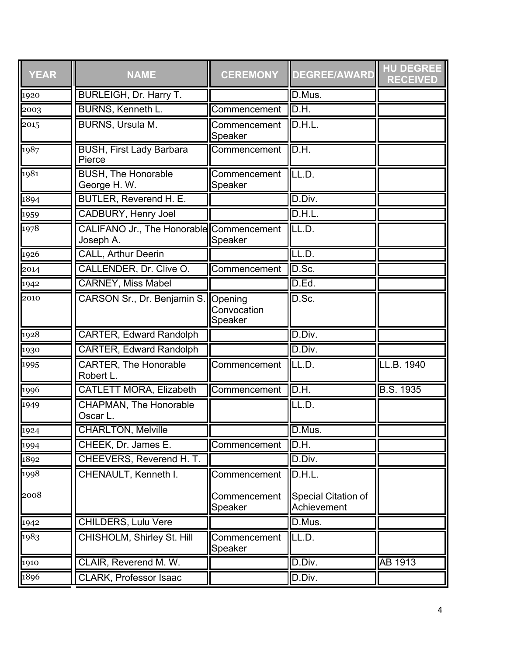| <b>YEAR</b>   | <b>NAME</b>                                           | <b>CEREMONY</b>                   | <b>DEGREE/AWARD</b>                | <b>HU DEGREE</b><br><b>RECEIVED</b> |
|---------------|-------------------------------------------------------|-----------------------------------|------------------------------------|-------------------------------------|
| 1920          | <b>BURLEIGH, Dr. Harry T.</b>                         |                                   | D.Mus.                             |                                     |
| $\sqrt{2003}$ | <b>BURNS, Kenneth L.</b>                              | Commencement                      | D.H.                               |                                     |
| 2015          | <b>BURNS, Ursula M.</b>                               | Commencement<br>Speaker           | D.H.L.                             |                                     |
| 1987          | <b>BUSH, First Lady Barbara</b><br>Pierce             | Commencement                      | D.H.                               |                                     |
| 1981          | <b>BUSH, The Honorable</b><br>George H.W.             | Commencement<br>Speaker           | LL.D.                              |                                     |
| 1894          | <b>BUTLER, Reverend H. E.</b>                         |                                   | D.Div.                             |                                     |
| 1959          | <b>CADBURY, Henry Joel</b>                            |                                   | D.H.L.                             |                                     |
| 1978          | CALIFANO Jr., The Honorable Commencement<br>Joseph A. | Speaker                           | LL.D.                              |                                     |
| 1926          | <b>CALL, Arthur Deerin</b>                            |                                   | LL.D.                              |                                     |
| 2014          | CALLENDER, Dr. Clive O.                               | Commencement                      | D.Sc.                              |                                     |
| 1942          | <b>CARNEY, Miss Mabel</b>                             |                                   | D.Ed.                              |                                     |
| 2010          | CARSON Sr., Dr. Benjamin S.                           | Opening<br>Convocation<br>Speaker | D.Sc.                              |                                     |
| 1928          | <b>CARTER, Edward Randolph</b>                        |                                   | D.Div.                             |                                     |
| 1930          | <b>CARTER, Edward Randolph</b>                        |                                   | D.Div.                             |                                     |
| 1995          | <b>CARTER, The Honorable</b><br>Robert L.             | Commencement                      | LL.D.                              | LL.B. 1940                          |
| 1996          | <b>CATLETT MORA, Elizabeth</b>                        | Commencement                      | D.H.                               | <b>B.S. 1935</b>                    |
| 1949          | CHAPMAN, The Honorable<br>Oscar L.                    |                                   | LL.D.                              |                                     |
| 1924<br>1994  | <b>CHARLTON, Melville</b>                             |                                   | D.Mus.                             |                                     |
|               | CHEEK, Dr. James E.                                   | Commencement                      | D.H.                               |                                     |
| 1892          | CHEEVERS, Reverend H. T.                              |                                   | D.Div.                             |                                     |
| 1998          | CHENAULT, Kenneth I.                                  | Commencement                      | D.H.L.                             |                                     |
| 2008          |                                                       | Commencement<br>Speaker           | Special Citation of<br>Achievement |                                     |
| 1942          | <b>CHILDERS, Lulu Vere</b>                            |                                   | D.Mus.                             |                                     |
| 1983          | CHISHOLM, Shirley St. Hill                            | Commencement<br>Speaker           | LL.D.                              |                                     |
| 1910          | CLAIR, Reverend M. W.                                 |                                   | D.Div.                             | AB 1913                             |
| 1896          | <b>CLARK, Professor Isaac</b>                         |                                   | D.Div.                             |                                     |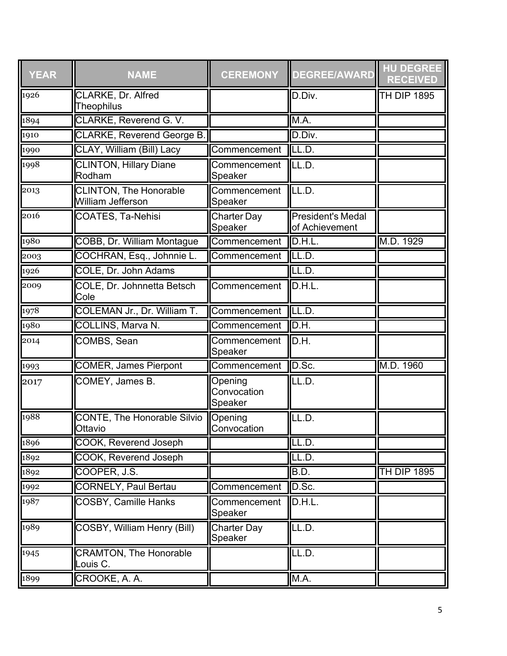| <b>YEAR</b> | <b>NAME</b>                                        | <b>CEREMONY</b>                   | <b>DEGREE/AWARD</b>                        | <b>HU DEGREE</b><br><b>RECEIVED</b> |
|-------------|----------------------------------------------------|-----------------------------------|--------------------------------------------|-------------------------------------|
| 1926        | CLARKE, Dr. Alfred<br><b>Theophilus</b>            |                                   | D.Div.                                     | <b>TH DIP 1895</b>                  |
| 1894        | <b>CLARKE, Reverend G. V.</b>                      |                                   | M.A.                                       |                                     |
| 1910        | CLARKE, Reverend George B.                         |                                   | D.Div.                                     |                                     |
| 1990        | CLAY, William (Bill) Lacy                          | Commencement                      | LL.D.                                      |                                     |
| 1998        | <b>CLINTON, Hillary Diane</b><br>Rodham            | Commencement<br>Speaker           | LL.D.                                      |                                     |
| 2013        | <b>CLINTON, The Honorable</b><br>William Jefferson | Commencement<br>Speaker           | ILL.D.                                     |                                     |
| 2016        | COATES, Ta-Nehisi                                  | <b>Charter Day</b><br>Speaker     | <b>President's Medal</b><br>of Achievement |                                     |
| 1980        | COBB, Dr. William Montague                         | Commencement                      | D.H.L.                                     | M.D. 1929                           |
| 2003        | COCHRAN, Esq., Johnnie L.                          | Commencement                      | LL.D.                                      |                                     |
| 1926        | COLE, Dr. John Adams                               |                                   | LL.D.                                      |                                     |
| 2009        | COLE, Dr. Johnnetta Betsch<br>Cole                 | Commencement                      | D.H.L.                                     |                                     |
| 1978        | COLEMAN Jr., Dr. William T.                        | Commencement                      | ILL.D.                                     |                                     |
| 1980        | COLLINS, Marva N.                                  | Commencement                      | D.H.                                       |                                     |
| 2014        | COMBS, Sean                                        | Commencement<br>Speaker           | D.H.                                       |                                     |
| 1993        | <b>COMER, James Pierpont</b>                       | Commencement                      | D.Sc.                                      | M.D. 1960                           |
| 2017        | COMEY, James B.                                    | Opening<br>Convocation<br>Speaker | LL.D.                                      |                                     |
| 1988        | <b>CONTE, The Honorable Silvio</b><br>Ottavio      | Opening<br>Convocation            | LL.D.                                      |                                     |
| 1896        | <b>COOK, Reverend Joseph</b>                       |                                   | LL.D.                                      |                                     |
| 1892        | <b>COOK, Reverend Joseph</b>                       |                                   | LL.D.                                      |                                     |
| 1892        | COOPER, J.S.                                       |                                   | B.D.                                       | <b>TH DIP 1895</b>                  |
| 1992        | <b>CORNELY, Paul Bertau</b>                        | Commencement                      | D.Sc.                                      |                                     |
| 1987        | <b>COSBY, Camille Hanks</b>                        | Commencement<br>Speaker           | D.H.L.                                     |                                     |
| 1989        | <b>COSBY, William Henry (Bill)</b>                 | <b>Charter Day</b><br>Speaker     | LL.D.                                      |                                     |
| 1945        | <b>CRAMTON, The Honorable</b><br>Louis C.          |                                   | LL.D.                                      |                                     |
| 1899        | CROOKE, A. A.                                      |                                   | M.A.                                       |                                     |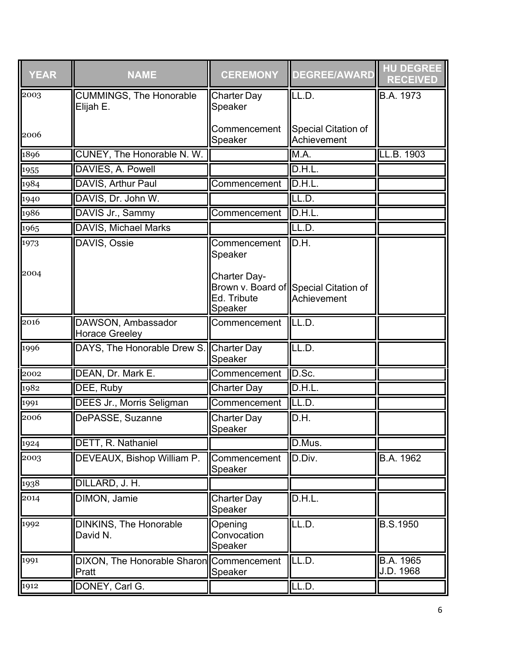| <b>YEAR</b> | <b>NAME</b>                                       | <b>CEREMONY</b>                        | <b>DEGREE/AWARD</b>                                  | <b>HU DEGREE</b><br><b>RECEIVED</b> |
|-------------|---------------------------------------------------|----------------------------------------|------------------------------------------------------|-------------------------------------|
| 2003        | <b>CUMMINGS, The Honorable</b><br>Elijah E.       | <b>Charter Day</b><br>Speaker          | LL.D.                                                | B.A. 1973                           |
| 2006        |                                                   | Commencement<br>Speaker                | <b>Special Citation of</b><br>Achievement            |                                     |
| 1896        | CUNEY, The Honorable N. W.                        |                                        | M.A.                                                 | LL.B. 1903                          |
| 1955        | DAVIES, A. Powell                                 |                                        | D.H.L.                                               |                                     |
| 1984        | DAVIS, Arthur Paul                                | Commencement                           | D.H.L.                                               |                                     |
| 1940        | DAVIS, Dr. John W.                                |                                        | LL.D.                                                |                                     |
| 1986        | DAVIS Jr., Sammy                                  | Commencement                           | D.H.L.                                               |                                     |
| 1965        | <b>DAVIS, Michael Marks</b>                       |                                        | LL.D.                                                |                                     |
| 1973        | DAVIS, Ossie                                      | Commencement<br>Speaker                | lld.h.                                               |                                     |
| 2004        |                                                   | Charter Day-<br>Ed. Tribute<br>Speaker | Brown v. Board of Special Citation of<br>Achievement |                                     |
| 2016        | DAWSON, Ambassador<br><b>Horace Greeley</b>       | Commencement                           | <b>II</b> LL.D.                                      |                                     |
| 1996        | DAYS, The Honorable Drew S.                       | Charter Day<br>Speaker                 | LL.D.                                                |                                     |
| 2002        | DEAN, Dr. Mark E.                                 | Commencement                           | D.Sc.                                                |                                     |
| 1982        | DEE, Ruby                                         | <b>Charter Day</b>                     | D.H.L.                                               |                                     |
| 1991        | DEES Jr., Morris Seligman                         | Commencement                           | ILL.D.                                               |                                     |
| 2006        | DePASSE, Suzanne                                  | <b>Charter Day</b><br>Speaker          | D.H.                                                 |                                     |
| 1924        | DETT, R. Nathaniel                                |                                        | D.Mus.                                               |                                     |
| 2003        | DEVEAUX, Bishop William P.                        | Commencement<br>Speaker                | D.Div.                                               | B.A. 1962                           |
| 1938        | DILLARD, J. H.                                    |                                        |                                                      |                                     |
| 2014        | DIMON, Jamie                                      | <b>Charter Day</b><br>Speaker          | D.H.L.                                               |                                     |
| 1992        | <b>DINKINS, The Honorable</b><br>David N.         | Opening<br>Convocation<br>Speaker      | LL.D.                                                | <b>B.S.1950</b>                     |
| 1991        | DIXON, The Honorable Sharon Commencement<br>Pratt | Speaker                                | LL.D.                                                | B.A. 1965<br>J.D. 1968              |
| 1912        | DONEY, Carl G.                                    |                                        | LL.D.                                                |                                     |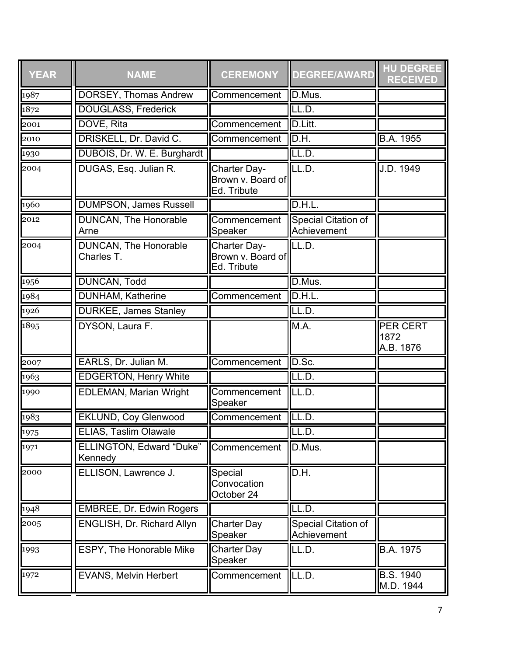| <b>YEAR</b> | <b>NAME</b>                                | <b>CEREMONY</b>                                         | <b>DEGREE/AWARD</b>                | <b>HU DEGREE</b><br><b>RECEIVED</b> |
|-------------|--------------------------------------------|---------------------------------------------------------|------------------------------------|-------------------------------------|
| 1987        | DORSEY, Thomas Andrew                      | Commencement                                            | D.Mus.                             |                                     |
| 1872        | <b>DOUGLASS, Frederick</b>                 |                                                         | LL.D.                              |                                     |
| 2001        | DOVE, Rita                                 | Commencement                                            | D.Litt.                            |                                     |
| 2010        | DRISKELL, Dr. David C.                     | Commencement                                            | D.H.                               | <b>B.A. 1955</b>                    |
| 1930        | DUBOIS, Dr. W. E. Burghardt                |                                                         | LL.D.                              |                                     |
| 2004        | DUGAS, Esq. Julian R.                      | <b>Charter Day-</b><br>Brown v. Board of<br>Ed. Tribute | LL.D.                              | J.D. 1949                           |
| 1960        | <b>DUMPSON, James Russell</b>              |                                                         | D.H.L                              |                                     |
| 2012        | DUNCAN, The Honorable<br>Arne              | Commencement<br>Speaker                                 | Special Citation of<br>Achievement |                                     |
| 2004        | <b>DUNCAN, The Honorable</b><br>Charles T. | Charter Day-<br>Brown v. Board of<br>Ed. Tribute        | LL.D.                              |                                     |
| 1956        | <b>DUNCAN, Todd</b>                        |                                                         | D.Mus.                             |                                     |
| 1984        | <b>DUNHAM</b> , Katherine                  | Commencement                                            | D.H.L                              |                                     |
| 1926        | <b>DURKEE, James Stanley</b>               |                                                         | LL.D.                              |                                     |
| 1895        | DYSON, Laura F.                            |                                                         | M.A.                               | PER CERT<br>1872<br>A.B. 1876       |
| 2007        | EARLS, Dr. Julian M.                       | Commencement                                            | D.Sc.                              |                                     |
| 1963        | <b>EDGERTON, Henry White</b>               |                                                         | LL.D.                              |                                     |
| 1990        | <b>EDLEMAN, Marian Wright</b>              | Commencement<br>Speaker                                 | LL.D.                              |                                     |
| 1983        | <b>EKLUND, Coy Glenwood</b>                | Commencement                                            | LL.D.                              |                                     |
| 1975        | ELIAS, Taslim Olawale                      |                                                         | ILL.D.                             |                                     |
| 1971        | <b>ELLINGTON, Edward "Duke"</b><br>Kennedy | Commencement                                            | D.Mus.                             |                                     |
| 2000        | ELLISON, Lawrence J.                       | Special<br>Convocation<br>October 24                    | D.H.                               |                                     |
| 1948        | <b>EMBREE, Dr. Edwin Rogers</b>            |                                                         | LL.D.                              |                                     |
| 2005        | ENGLISH, Dr. Richard Allyn                 | <b>Charter Day</b><br>Speaker                           | Special Citation of<br>Achievement |                                     |
| 1993        | <b>ESPY, The Honorable Mike</b>            | <b>Charter Day</b><br>Speaker                           | LL.D.                              | B.A. 1975                           |
| 1972        | EVANS, Melvin Herbert                      | Commencement                                            | LL.D.                              | B.S. 1940<br>M.D. 1944              |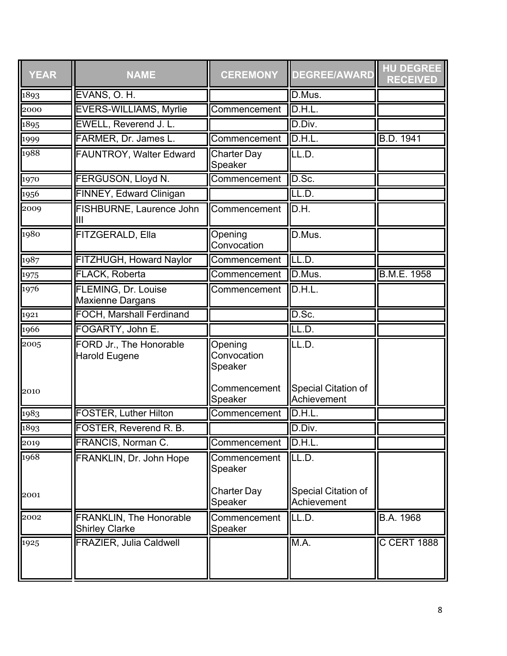| <b>YEAR</b> | <b>NAME</b>                                             | <b>CEREMONY</b>                   | <b>DEGREE/AWARD</b>                | <b>HU DEGREE</b><br><b>RECEIVED</b> |
|-------------|---------------------------------------------------------|-----------------------------------|------------------------------------|-------------------------------------|
| 1893        | EVANS, O.H.                                             |                                   | D.Mus.                             |                                     |
| 2000        | <b>EVERS-WILLIAMS, Myrlie</b>                           | Commencement                      | D.H.L.                             |                                     |
| 1895        | EWELL, Reverend J. L.                                   |                                   | D.Div.                             |                                     |
| 1999        | FARMER, Dr. James L.                                    | Commencement                      | D.H.L.                             | <b>B.D. 1941</b>                    |
| 1988        | <b>FAUNTROY, Walter Edward</b>                          | <b>Charter Day</b><br>Speaker     | LL.D.                              |                                     |
| 1970        | FERGUSON, Lloyd N.                                      | Commencement                      | D.Sc.                              |                                     |
| 1956        | FINNEY, Edward Clinigan                                 |                                   | LL.D.                              |                                     |
| 2009        | FISHBURNE, Laurence John<br>Ш                           | Commencement                      | D.H.                               |                                     |
| 1980        | FITZGERALD, Ella                                        | Opening<br>Convocation            | D.Mus.                             |                                     |
| 1987        | FITZHUGH, Howard Naylor                                 | Commencement                      | LL.D.                              |                                     |
| 1975        | <b>FLACK, Roberta</b>                                   | Commencement                      | D.Mus.                             | <b>B.M.E. 1958</b>                  |
| 1976        | FLEMING, Dr. Louise<br>Maxienne Dargans                 | Commencement                      | D.H.L.                             |                                     |
| 1921        | <b>FOCH, Marshall Ferdinand</b>                         |                                   | D.Sc.                              |                                     |
| 1966        | FOGARTY, John E.                                        |                                   | LL.D.                              |                                     |
| 2005        | FORD Jr., The Honorable<br><b>Harold Eugene</b>         | Opening<br>Convocation<br>Speaker | LL.D.                              |                                     |
| 2010        |                                                         | Commencement<br>Speaker           | Special Citation of<br>Achievement |                                     |
| 1983        | <b>FOSTER, Luther Hilton</b>                            | Commencement                      | D.H.L.                             |                                     |
| 1893        | FOSTER, Reverend R. B.                                  |                                   | D.Div.                             |                                     |
| 2019        | FRANCIS, Norman C.                                      | Commencement                      | D.H.L.                             |                                     |
| 1968        | FRANKLIN, Dr. John Hope                                 | Commencement<br>Speaker           | ILL.D.                             |                                     |
| 2001        |                                                         | <b>Charter Day</b><br>Speaker     | Special Citation of<br>Achievement |                                     |
| 2002        | <b>FRANKLIN, The Honorable</b><br><b>Shirley Clarke</b> | Commencement<br>Speaker           | LL.D.                              | B.A. 1968                           |
| 1925        | <b>FRAZIER, Julia Caldwell</b>                          |                                   | M.A.                               | <b>C CERT 1888</b>                  |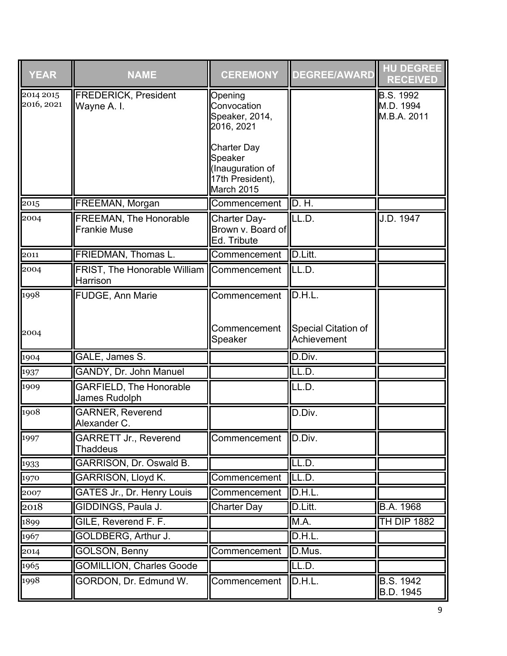| <b>YEAR</b>             | <b>NAME</b>                                                  | <b>CEREMONY</b>                                                                     | <b>DEGREE/AWARD</b>                | <b>HU DEGREE</b><br><b>RECEIVED</b>          |
|-------------------------|--------------------------------------------------------------|-------------------------------------------------------------------------------------|------------------------------------|----------------------------------------------|
| 2014 2015<br>2016, 2021 | <b>FREDERICK, President</b><br>Wayne A. I.                   | Opening<br>Convocation<br>Speaker, 2014,<br>2016, 2021                              |                                    | <b>B.S. 1992</b><br>M.D. 1994<br>M.B.A. 2011 |
|                         |                                                              | <b>Charter Day</b><br>Speaker<br>(Inauguration of<br>17th President),<br>March 2015 |                                    |                                              |
| 2015                    | FREEMAN, Morgan                                              | Commencement                                                                        | <b>ID. H.</b>                      |                                              |
| 2004                    | FREEMAN, The Honorable<br><b>Frankie Muse</b>                | Charter Day-<br>Brown v. Board of<br>Ed. Tribute                                    | ILL.D.                             | J.D. 1947                                    |
| 2011                    | <b>FRIEDMAN, Thomas L.</b>                                   | Commencement                                                                        | <b>ID.Litt.</b>                    |                                              |
| 2004                    | FRIST, The Honorable William Commencement ILL.D.<br>Harrison |                                                                                     |                                    |                                              |
| 1998                    | <b>FUDGE, Ann Marie</b>                                      | Commencement ID.H.L.                                                                |                                    |                                              |
| 2004                    |                                                              | Commencement<br>Speaker                                                             | Special Citation of<br>Achievement |                                              |
| 1904                    | GALE, James S.                                               |                                                                                     | D.Div.                             |                                              |
| 1937                    | GANDY, Dr. John Manuel                                       |                                                                                     | LL.D.                              |                                              |
| 1909                    | <b>GARFIELD, The Honorable</b><br>James Rudolph              |                                                                                     | LL.D.                              |                                              |
| 1908                    | <b>GARNER, Reverend</b><br>Alexander C.                      |                                                                                     | D.Div.                             |                                              |
| 1997                    | <b>GARRETT Jr., Reverend</b><br><b>Thaddeus</b>              | Commencement   D.Div.                                                               |                                    |                                              |
| 1933                    | GARRISON, Dr. Oswald B.                                      |                                                                                     | LL.D.                              |                                              |
| 1970                    | <b>GARRISON, Lloyd K.</b>                                    | Commencement                                                                        | LL.D.                              |                                              |
| 2007                    | GATES Jr., Dr. Henry Louis                                   | Commencement                                                                        | ID.H.L.                            |                                              |
| 2018                    | GIDDINGS, Paula J.                                           | <b>Charter Day</b>                                                                  | D.Litt.                            | <b>B.A. 1968</b>                             |
| 1899                    | GILE, Reverend F. F.                                         |                                                                                     | M.A.                               | <b>TH DIP 1882</b>                           |
| 1967                    | GOLDBERG, Arthur J.                                          |                                                                                     | D.H.L.                             |                                              |
| 2014                    | <b>GOLSON, Benny</b>                                         | Commencement                                                                        | D.Mus.                             |                                              |
| 1965                    | <b>GOMILLION, Charles Goode</b>                              |                                                                                     | LL.D.                              |                                              |
| 1998                    | GORDON, Dr. Edmund W.                                        | Commencement                                                                        | <b>II</b> D.H.L.                   | <b>B.S. 1942</b><br>B.D. 1945                |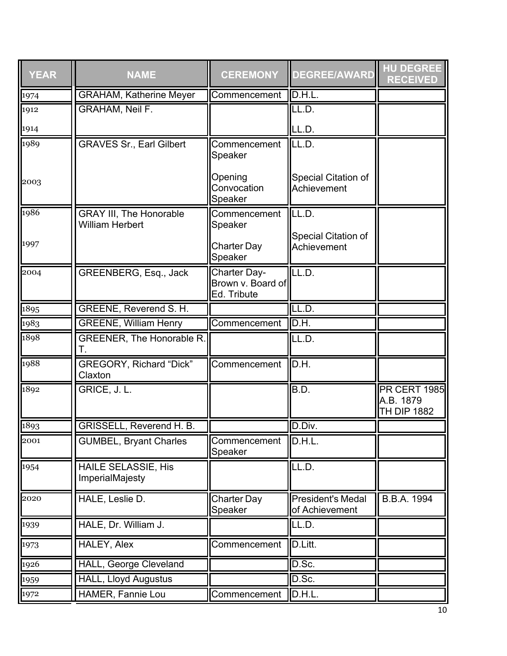| <b>YEAR</b> | <b>NAME</b>                                              | <b>CEREMONY</b>                                  | <b>DEGREE/AWARD</b>                        | <b>HU DEGREE</b><br><b>RECEIVED</b>                    |
|-------------|----------------------------------------------------------|--------------------------------------------------|--------------------------------------------|--------------------------------------------------------|
| 1974        | <b>GRAHAM, Katherine Meyer</b>                           | Commencement                                     | D.H.L.                                     |                                                        |
| 1912        | <b>GRAHAM, Neil F.</b>                                   |                                                  | LL.D.                                      |                                                        |
| 1914        |                                                          |                                                  | LL.D.                                      |                                                        |
| 1989        | <b>GRAVES Sr., Earl Gilbert</b>                          | Commencement<br>Speaker                          | LL.D.                                      |                                                        |
| 2003        |                                                          | Opening<br>Convocation<br>Speaker                | Special Citation of<br>Achievement         |                                                        |
| 1986        | <b>GRAY III, The Honorable</b><br><b>William Herbert</b> | Commencement<br>Speaker                          | LL.D.                                      |                                                        |
| 1997        |                                                          | <b>Charter Day</b><br>Speaker                    | Special Citation of<br>Achievement         |                                                        |
| 2004        | <b>GREENBERG, Esq., Jack</b>                             | Charter Day-<br>Brown v. Board of<br>Ed. Tribute | LL.D.                                      |                                                        |
| 1895        | <b>GREENE, Reverend S. H.</b>                            |                                                  | LL.D.                                      |                                                        |
| 1983        | <b>GREENE, William Henry</b>                             | Commencement                                     | D.H.                                       |                                                        |
| 1898        | GREENER, The Honorable R.<br>Т.                          |                                                  | $\overline{\mathsf{LL}.\mathsf{D}}$ .      |                                                        |
| 1988        | <b>GREGORY, Richard "Dick"</b><br>Claxton                | Commencement                                     | D.H.                                       |                                                        |
| 1892        | GRICE, J. L.                                             |                                                  | B.D.                                       | <b>PR CERT 1985</b><br>A.B. 1879<br><b>TH DIP 1882</b> |
| 1893        | <b>GRISSELL, Reverend H. B.</b>                          |                                                  | D.Div.                                     |                                                        |
| 2001        | <b>GUMBEL, Bryant Charles</b>                            | Commencement<br>Speaker                          | D.H.L.                                     |                                                        |
| 1954        | <b>HAILE SELASSIE, His</b><br>ImperialMajesty            |                                                  | LL.D.                                      |                                                        |
| 2020        | HALE, Leslie D.                                          | <b>Charter Day</b><br>Speaker                    | <b>President's Medal</b><br>of Achievement | B.B.A. 1994                                            |
| 1939        | HALE, Dr. William J.                                     |                                                  | LL.D.                                      |                                                        |
| 1973        | HALEY, Alex                                              | Commencement                                     | D.Litt.                                    |                                                        |
| 1926        | <b>HALL, George Cleveland</b>                            |                                                  | D.Sc.                                      |                                                        |
| 1959        | <b>HALL, Lloyd Augustus</b>                              |                                                  | D.Sc.                                      |                                                        |
| 1972        | HAMER, Fannie Lou                                        | Commencement                                     | D.H.L.                                     |                                                        |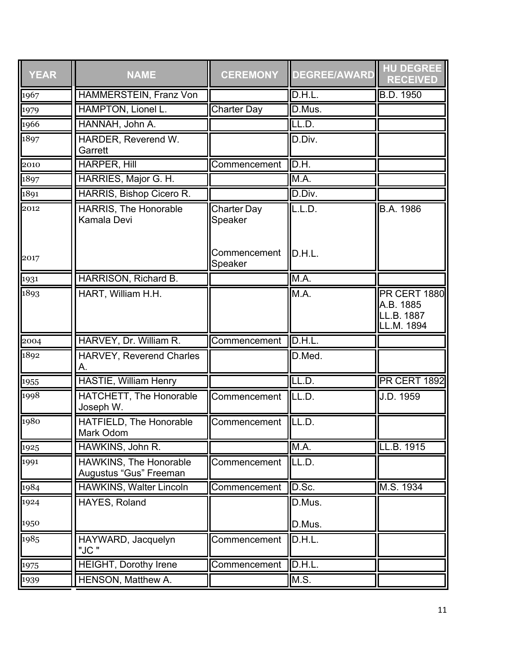| <b>YEAR</b>       | <b>NAME</b>                                      | <b>CEREMONY</b>               | <b>DEGREE/AWARD</b> | <b>HU DEGREE</b><br><b>RECEIVED</b>                          |
|-------------------|--------------------------------------------------|-------------------------------|---------------------|--------------------------------------------------------------|
| 1967              | HAMMERSTEIN, Franz Von                           |                               | D.H.L.              | <b>B.D. 1950</b>                                             |
| 1979              | <b>HAMPTON, Lionel L.</b>                        | <b>Charter Day</b>            | D.Mus.              |                                                              |
| 1966              | HANNAH, John A.                                  |                               | LL.D.               |                                                              |
| 1897              | HARDER, Reverend W.<br>Garrett                   |                               | D.Div.              |                                                              |
| 2010              | <b>HARPER, Hill</b>                              | Commencement                  | D.H.                |                                                              |
| 1897              | HARRIES, Major G. H.                             |                               | M.A.                |                                                              |
| 1891              | HARRIS, Bishop Cicero R.                         |                               | D.Div.              |                                                              |
| 2012              | HARRIS, The Honorable<br>Kamala Devi             | <b>Charter Day</b><br>Speaker | L.L.D.              | B.A. 1986                                                    |
| 2017              |                                                  | Commencement<br>Speaker       | D.H.L.              |                                                              |
| $\sqrt{1931}$     | HARRISON, Richard B.                             |                               | M.A.                |                                                              |
| 1893              | HART, William H.H.                               |                               | M.A.                | <b>PR CERT 1880</b><br>A.B. 1885<br>LL.B. 1887<br>LL.M. 1894 |
| $ 2004\rangle$    | HARVEY, Dr. William R.                           | Commencement                  | D.H.L.              |                                                              |
| 1892              | <b>HARVEY, Reverend Charles</b><br>Α.            |                               | D.Med.              |                                                              |
| 1955              | <b>HASTIE, William Henry</b>                     |                               | LL.D.               | <b>PR CERT 1892</b>                                          |
| 1998              | <b>HATCHETT, The Honorable</b><br>Joseph W.      | Commencement                  | LL.D.               | J.D. 1959                                                    |
| 1980              | <b>HATFIELD, The Honorable</b><br>Mark Odom      | Commencement                  | LL.D.               |                                                              |
| $\overline{1925}$ | HAWKINS, John R.                                 |                               | M.A.                | LL.B. 1915                                                   |
| 1991              | HAWKINS, The Honorable<br>Augustus "Gus" Freeman | Commencement                  | LL.D.               |                                                              |
| 1984              | <b>HAWKINS, Walter Lincoln</b>                   | Commencement                  | D.Sc.               | M.S. 1934                                                    |
| 1924              | HAYES, Roland                                    |                               | D.Mus.              |                                                              |
| 1950              |                                                  |                               | D.Mus.              |                                                              |
| 1985              | HAYWARD, Jacquelyn<br>"JC "                      | Commencement                  | D.H.L.              |                                                              |
| 1975              | <b>HEIGHT, Dorothy Irene</b>                     | Commencement                  | D.H.L.              |                                                              |
| 1939              | HENSON, Matthew A.                               |                               | M.S.                |                                                              |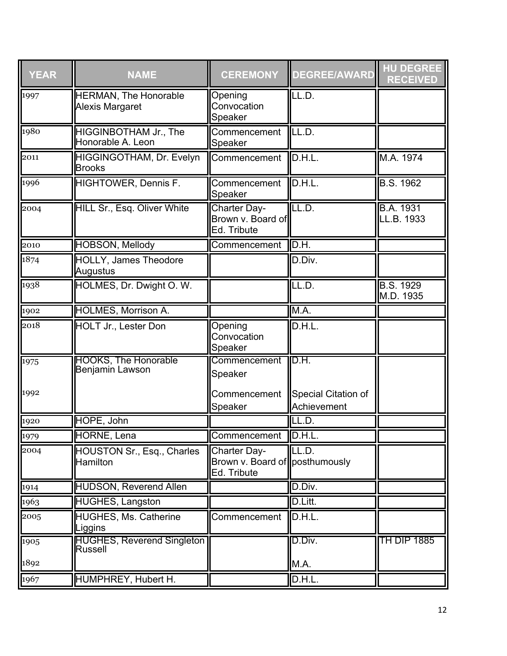| <b>YEAR</b> | <b>NAME</b>                                          | <b>CEREMONY</b>                                               | <b>DEGREE/AWARD</b>                | <b>HU DEGREE</b><br><b>RECEIVED</b> |
|-------------|------------------------------------------------------|---------------------------------------------------------------|------------------------------------|-------------------------------------|
| 1997        | <b>HERMAN, The Honorable</b><br>Alexis Margaret      | Opening<br>Convocation<br>Speaker                             | LL.D.                              |                                     |
| 1980        | HIGGINBOTHAM Jr., The<br>Honorable A. Leon           | Commencement<br>Speaker                                       | LL.D.                              |                                     |
| 2011        | HIGGINGOTHAM, Dr. Evelyn<br><b>Brooks</b>            | Commencement                                                  | D.H.L.                             | M.A. 1974                           |
| 1996        | HIGHTOWER, Dennis F.                                 | Commencement<br>Speaker                                       | D.H.L.                             | <b>B.S. 1962</b>                    |
| 2004        | <b>HILL Sr., Esq. Oliver White</b>                   | Charter Day-<br>Brown v. Board of<br>Ed. Tribute              | LL.D.                              | <b>B.A. 1931</b><br>LL.B. 1933      |
| 2010        | <b>HOBSON, Mellody</b>                               | Commencement                                                  | $II$ D.H.                          |                                     |
| 1874        | <b>HOLLY, James Theodore</b><br>Augustus             |                                                               | D.Div.                             |                                     |
| 1938        | HOLMES, Dr. Dwight O. W.                             |                                                               | LL.D.                              | <b>B.S. 1929</b><br>M.D. 1935       |
| 1902        | <b>HOLMES, Morrison A.</b>                           |                                                               | M.A.                               |                                     |
| 2018        | HOLT Jr., Lester Don                                 | Opening<br>Convocation<br>Speaker                             | D.H.L.                             |                                     |
| 1975        | <b>HOOKS, The Honorable</b><br>Benjamin Lawson       | Commencement<br>Speaker                                       | D.H.                               |                                     |
| 1992        |                                                      | Commencement<br>Speaker                                       | Special Citation of<br>Achievement |                                     |
| 1920        | HOPE, John                                           |                                                               | LL.D.                              |                                     |
| 1979        | <b>HORNE, Lena</b>                                   | Commencement D.H.L.                                           |                                    |                                     |
| 2004        | <b>HOUSTON Sr., Esq., Charles</b><br><b>Hamilton</b> | Charter Day-<br>Brown v. Board of posthumously<br>Ed. Tribute | lll.d.                             |                                     |
| 1914        | <b>HUDSON, Reverend Allen</b>                        |                                                               | D.Div.                             |                                     |
| 1963        | <b>HUGHES, Langston</b>                              |                                                               | D.Litt.                            |                                     |
| 2005        | HUGHES, Ms. Catherine<br>Liggins                     | Commencement                                                  | D.H.L.                             |                                     |
| 1905        | <b>HUGHES, Reverend Singleton</b><br><b>Russell</b>  |                                                               | D.Div.                             | TH DIP 1885                         |
| 1892        |                                                      |                                                               | M.A.                               |                                     |
| 1967        | HUMPHREY, Hubert H.                                  |                                                               | D.H.L.                             |                                     |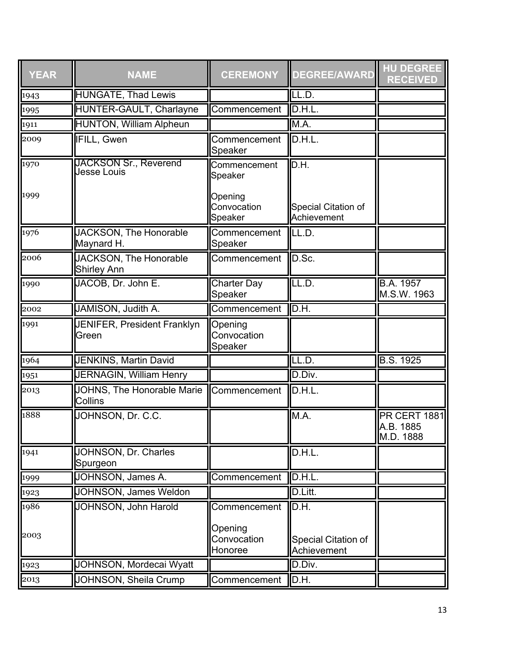| <b>YEAR</b> | <b>NAME</b>                                  | <b>CEREMONY</b>                   | <b>DEGREE/AWARD</b>                | <b>HU DEGREE</b><br><b>RECEIVED</b>           |
|-------------|----------------------------------------------|-----------------------------------|------------------------------------|-----------------------------------------------|
| 1943        | <b>HUNGATE, Thad Lewis</b>                   |                                   | LL.D.                              |                                               |
| 1995        | <b>HUNTER-GAULT, Charlayne</b>               | Commencement                      | D.H.L.                             |                                               |
| 1911        | <b>HUNTON, William Alpheun</b>               |                                   | M.A.                               |                                               |
| 2009        | <b>IFILL, Gwen</b>                           | Commencement<br>Speaker           | Đ.H.L.                             |                                               |
| 1970        | <b>JACKSON Sr., Reverend</b><br>Jesse Louis  | Commencement<br>Speaker           | D.H.                               |                                               |
| 1999        |                                              | Opening<br>Convocation<br>Speaker | Special Citation of<br>Achievement |                                               |
| 1976        | JACKSON, The Honorable<br>Maynard H.         | Commencement<br>Speaker           | LL.D.                              |                                               |
| 2006        | JACKSON, The Honorable<br><b>Shirley Ann</b> | Commencement                      | D.Sc.                              |                                               |
| 1990        | JACOB, Dr. John E.                           | <b>Charter Day</b><br>Speaker     | LL.D.                              | <b>B.A. 1957</b><br>M.S.W. 1963               |
| 2002        | JAMISON, Judith A.                           | Commencement                      | D.H.                               |                                               |
| 1991        | <b>JENIFER, President Franklyn</b><br>Green  | Opening<br>Convocation<br>Speaker |                                    |                                               |
| 1964        | <b>JENKINS, Martin David</b>                 |                                   | LL.D.                              | <b>B.S. 1925</b>                              |
| 1951        | <b>JERNAGIN, William Henry</b>               |                                   | D.Div.                             |                                               |
| 2013        | JOHNS, The Honorable Marie<br><b>Collins</b> | Commencement                      | D.H.L.                             |                                               |
| 1888        | JOHNSON, Dr. C.C.                            |                                   | M.A.                               | <b>PR CERT 1881</b><br>A.B. 1885<br>M.D. 1888 |
| 1941        | JOHNSON, Dr. Charles<br>Spurgeon             |                                   | D.H.L.                             |                                               |
| 1999        | JOHNSON, James A.                            | Commencement                      | D.H.L.                             |                                               |
| 1923        | <b>JOHNSON, James Weldon</b>                 |                                   | D.Litt.                            |                                               |
| 1986        | <b>JOHNSON, John Harold</b>                  | Commencement                      | D.H.                               |                                               |
| 2003        |                                              | Opening<br>Convocation<br>Honoree | Special Citation of<br>Achievement |                                               |
| 1923        | <b>JOHNSON, Mordecai Wyatt</b>               |                                   | D.Div.                             |                                               |
| 2013        | JOHNSON, Sheila Crump                        | Commencement                      | D.H.                               |                                               |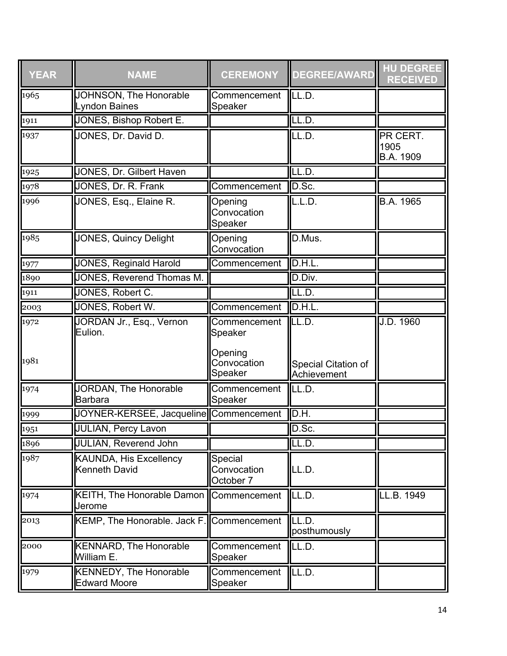| <b>YEAR</b>        | <b>NAME</b>                                          | <b>CEREMONY</b>                     | <b>DEGREE/AWARD</b>                | <b>HU DEGREE</b><br><b>RECEIVED</b> |
|--------------------|------------------------------------------------------|-------------------------------------|------------------------------------|-------------------------------------|
| 1965               | JOHNSON, The Honorable<br>Lyndon Baines              | Commencement<br>Speaker             | LL.D.                              |                                     |
| $\sqrt{1911}$      | <b>JONES, Bishop Robert E.</b>                       |                                     | LL.D.                              |                                     |
| 1937               | JONES, Dr. David D.                                  |                                     | LL.D.                              | PR CERT.<br>1905<br>B.A. 1909       |
| 1925               | <b>JONES, Dr. Gilbert Haven</b>                      |                                     | LL.D.                              |                                     |
| 1978               | JONES, Dr. R. Frank                                  | Commencement                        | D.Sc.                              |                                     |
| 1996               | JONES, Esq., Elaine R.                               | Opening<br>Convocation<br>Speaker   | L.L.D.                             | B.A. 1965                           |
| 1985               | JONES, Quincy Delight                                | Opening<br>Convocation              | D.Mus.                             |                                     |
| 1977               | <b>JONES, Reginald Harold</b>                        | Commencement                        | D.H.L.                             |                                     |
| 1890               | <b>JONES, Reverend Thomas M.</b>                     |                                     | D.Div.                             |                                     |
| 1911               | JONES, Robert C.                                     |                                     | LL.D.                              |                                     |
| 2003               | JONES, Robert W.                                     | Commencement                        | D.H.L.                             |                                     |
| 1972               | JORDAN Jr., Esq., Vernon<br>Eulion.                  | Commencement<br>Speaker             | LL.D.                              | J.D. 1960                           |
| 1981               |                                                      | Opening<br>Convocation<br>Speaker   | Special Citation of<br>Achievement |                                     |
| 1974               | JORDAN, The Honorable<br><b>Barbara</b>              | Commencement<br>Speaker             | LL.D.                              |                                     |
| 1999               | JOYNER-KERSEE, Jacqueline Commencement               |                                     | D.H.                               |                                     |
| 1951               | <b>JULIAN, Percy Lavon</b>                           |                                     | D.Sc                               |                                     |
| $\frac{-95}{1896}$ | <b>JULIAN, Reverend John</b>                         |                                     | LL.D.                              |                                     |
| 1987               | KAUNDA, His Excellency<br><b>Kenneth David</b>       | Special<br>Convocation<br>October 7 | LL.D.                              |                                     |
| 1974               | KEITH, The Honorable Damon   Commencement<br>Jerome  |                                     | LL.D.                              | LL.B. 1949                          |
| 2013               | KEMP, The Honorable. Jack F. Commencement            |                                     | LL.D.<br>posthumously              |                                     |
| $\sqrt{2000}$      | <b>KENNARD, The Honorable</b><br>William E.          | Commencement<br>Speaker             | LL.D.                              |                                     |
| 1979               | <b>KENNEDY, The Honorable</b><br><b>Edward Moore</b> | Commencement<br>Speaker             | LL.D.                              |                                     |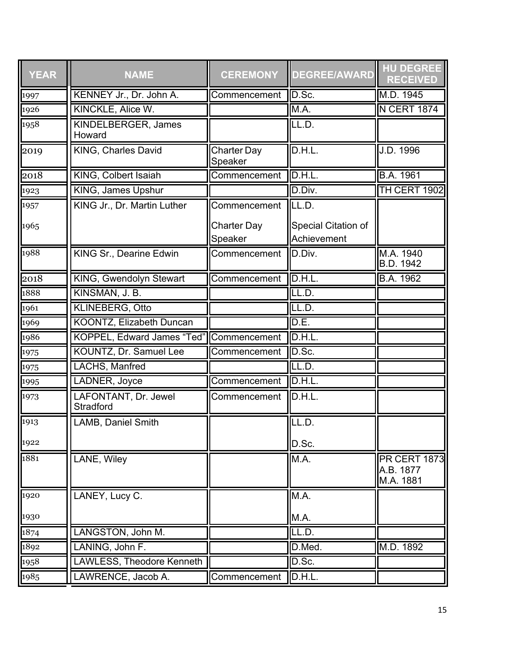| <b>YEAR</b> | <b>NAME</b>                              | <b>CEREMONY</b>               | <b>DEGREE/AWARD</b>                | <b>HU DEGREE</b><br><b>RECEIVED</b>           |
|-------------|------------------------------------------|-------------------------------|------------------------------------|-----------------------------------------------|
| 1997        | KENNEY Jr., Dr. John A.                  | Commencement                  | D.Sc.                              | M.D. 1945                                     |
| 1926        | KINCKLE, Alice W.                        |                               | M.A.                               | <b>N CERT 1874</b>                            |
| 1958        | KINDELBERGER, James<br>Howard            |                               | ILL.D.                             |                                               |
| 2019        | <b>KING, Charles David</b>               | <b>Charter Day</b><br>Speaker | D.H.L.                             | J.D. 1996                                     |
| 2018        | KING, Colbert Isaiah                     | Commencement                  | D.H.L                              | <b>B.A. 1961</b>                              |
| 1923        | <b>KING, James Upshur</b>                |                               | D.Div.                             | <b>TH CERT 1902</b>                           |
| 1957        | KING Jr., Dr. Martin Luther              | Commencement                  | LL.D.                              |                                               |
| 1965        |                                          | <b>Charter Day</b><br>Speaker | Special Citation of<br>Achievement |                                               |
| 1988        | KING Sr., Dearine Edwin                  | Commencement                  | D.Div.                             | M.A. 1940<br>B.D. 1942                        |
| 2018        | <b>KING, Gwendolyn Stewart</b>           | Commencement                  | D.H.L.                             | <b>B.A. 1962</b>                              |
| 1888        | KINSMAN, J. B.                           |                               | LL.D.                              |                                               |
| 1961        | <b>KLINEBERG, Otto</b>                   |                               | LL.D.                              |                                               |
| 1969        | <b>KOONTZ, Elizabeth Duncan</b>          |                               | D.E.                               |                                               |
| 1986        | KOPPEL, Edward James "Ted" Commencement  |                               | D.H.L.                             |                                               |
| 1975        | KOUNTZ, Dr. Samuel Lee                   | Commencement                  | D.Sc.                              |                                               |
| 1975        | LACHS, Manfred                           |                               | LL.D.                              |                                               |
| 1995        | LADNER, Joyce                            | Commencement                  | D.H.L                              |                                               |
| 1973        | LAFONTANT, Dr. Jewel<br><b>Stradford</b> | Commencement                  | D.H.L.                             |                                               |
| 1913        | LAMB, Daniel Smith                       |                               | LL.D.                              |                                               |
| 1922        |                                          |                               | D.Sc.                              |                                               |
| 1881        | LANE, Wiley                              |                               | M.A.                               | <b>PR CERT 1873</b><br>A.B. 1877<br>M.A. 1881 |
| 1920        | LANEY, Lucy C.                           |                               | M.A.                               |                                               |
| 1930        |                                          |                               | M.A.                               |                                               |
| 1874        | LANGSTON, John M.                        |                               | LL.D.                              |                                               |
| 1892        | LANING, John F.                          |                               | D.Med.                             | M.D. 1892                                     |
| 1958        | <b>LAWLESS, Theodore Kenneth</b>         |                               | D.Sc.                              |                                               |
| 1985        | LAWRENCE, Jacob A.                       | Commencement                  | D.H.L.                             |                                               |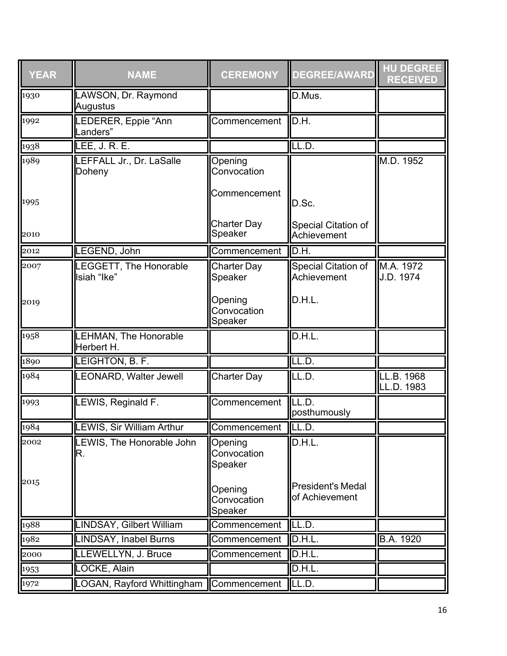| <b>YEAR</b> | <b>NAME</b>                           | <b>CEREMONY</b>                   | <b>DEGREE/AWARD</b>                        | <b>HU DEGREE</b><br><b>RECEIVED</b> |
|-------------|---------------------------------------|-----------------------------------|--------------------------------------------|-------------------------------------|
| 1930        | LAWSON, Dr. Raymond<br>Augustus       |                                   | D.Mus.                                     |                                     |
| 1992        | LEDERER, Eppie "Ann<br>Landers"       | Commencement                      | D.H.                                       |                                     |
| 1938        | <b>LEE, J. R. E.</b>                  |                                   | LL.D.                                      |                                     |
| 1989        | LEFFALL Jr., Dr. LaSalle<br>Doheny    | Opening<br>Convocation            |                                            | M.D. 1952                           |
| 1995        |                                       | Commencement                      | D.Sc.                                      |                                     |
| 2010        |                                       | <b>Charter Day</b><br>Speaker     | Special Citation of<br>Achievement         |                                     |
| 2012        | LEGEND, John                          | Commencement                      | D.H.                                       |                                     |
| 2007        | LEGGETT, The Honorable<br>Isiah "Ike" | <b>Charter Day</b><br>Speaker     | Special Citation of<br>Achievement         | M.A. 1972<br>J.D. 1974              |
| 2019        |                                       | Opening<br>Convocation<br>Speaker | D.H.L.                                     |                                     |
| 1958        | LEHMAN, The Honorable<br>Herbert H.   |                                   | D.H.L.                                     |                                     |
| 1890        | LEIGHTON, B. F.                       |                                   | LL.D.                                      |                                     |
| 1984        | <b>LEONARD, Walter Jewell</b>         | Charter Day                       | EL.D.                                      | LL.B. 1968<br>LL.D. 1983            |
| 1993        | LEWIS, Reginald F.                    | Commencement                      | LL.D.<br>posthumously                      |                                     |
| 1984        | <b>LEWIS, Sir William Arthur</b>      | Commencement LL.D.                |                                            |                                     |
| 2002        | LEWIS, The Honorable John<br>R.       | Opening<br>Convocation<br>Speaker | D.H.L.                                     |                                     |
| 2015        |                                       | Opening<br>Convocation<br>Speaker | <b>President's Medal</b><br>of Achievement |                                     |
| 1988        | LINDSAY, Gilbert William              | Commencement                      | LL.D.                                      |                                     |
| 1982        | <b>LINDSAY, Inabel Burns</b>          | Commencement                      | D.H.L                                      | <b>B.A. 1920</b>                    |
| 2000        | LLEWELLYN, J. Bruce                   | Commencement                      | D.H.L.                                     |                                     |
| 1953        | LOCKE, Alain                          |                                   | D.H.L.                                     |                                     |
| 1972        | LOGAN, Rayford Whittingham            | Commencement                      | ILL.D.                                     |                                     |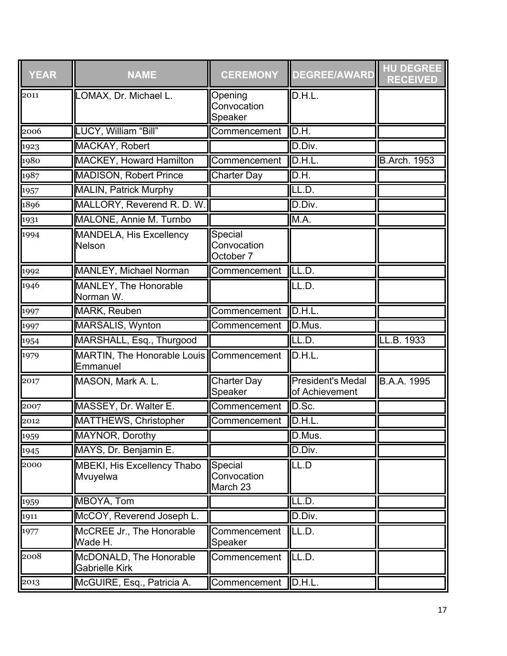| <b>YEAR</b>    | <b>NAME</b>                                          | <b>CEREMONY</b>                     | <b>DEGREE/AWARD</b>                        | <b>HU DEGREE</b><br><b>RECEIVED</b> |
|----------------|------------------------------------------------------|-------------------------------------|--------------------------------------------|-------------------------------------|
| 2011           | LOMAX, Dr. Michael L.                                | Opening<br>Convocation<br>Speaker   | D.H.L.                                     |                                     |
| 2006           | LUCY, William "Bill"                                 | Commencement                        | D.H.                                       |                                     |
| 1923           | MACKAY, Robert                                       |                                     | D.Div.                                     |                                     |
| 1980           | <b>MACKEY, Howard Hamilton</b>                       | Commencement                        | D.H.L                                      | <b>B.Arch. 1953</b>                 |
| 1987           | <b>MADISON, Robert Prince</b>                        | <b>Charter Day</b>                  | D.H.                                       |                                     |
| 1957           | <b>MALIN, Patrick Murphy</b>                         |                                     | LL.D.                                      |                                     |
| 1896           | MALLORY, Reverend R. D. W.                           |                                     | D.Div.                                     |                                     |
| 1931           | MALONE, Annie M. Turnbo                              |                                     | M.A.                                       |                                     |
| 1994           | MANDELA, His Excellency<br>Nelson                    | Special<br>Convocation<br>October 7 |                                            |                                     |
| 1992           | <b>MANLEY, Michael Norman</b>                        | Commencement                        | LL.D.                                      |                                     |
| 1946           | <b>MANLEY, The Honorable</b><br>Norman W.            |                                     | LL.D.                                      |                                     |
| 1997           | <b>MARK, Reuben</b>                                  | Commencement                        | D.H.L.                                     |                                     |
| 1997           | <b>MARSALIS, Wynton</b>                              | Commencement                        | D.Mus.                                     |                                     |
| 1954           | MARSHALL, Esq., Thurgood                             |                                     | LL.D.                                      | LL.B. 1933                          |
| $\sqrt{1979}$  | MARTIN, The Honorable Louis Commencement<br>Emmanuel |                                     | D.H.L.                                     |                                     |
| $ 2017\rangle$ | MASON, Mark A. L.                                    | <b>Charter Day</b><br>Speaker       | <b>President's Medal</b><br>of Achievement | B.A.A. 1995                         |
| 2007           | MASSEY, Dr. Walter E.                                | Commencement                        | D.Sc.                                      |                                     |
| 2012           | <b>MATTHEWS, Christopher</b>                         | Commencement                        | D.H.L                                      |                                     |
| 1959           | MAYNOR, Dorothy                                      |                                     | D.Mus.                                     |                                     |
| 1945           | MAYS, Dr. Benjamin E.                                |                                     | D.Div.                                     |                                     |
| 2000           | <b>MBEKI, His Excellency Thabo</b><br>Mvuyelwa       | Special<br>Convocation<br>March 23  | LL.D                                       |                                     |
| 1959           | MBOYA, Tom                                           |                                     | LL.D.                                      |                                     |
| 1911           | McCOY, Reverend Joseph L.                            |                                     | D.Div.                                     |                                     |
| 1977           | McCREE Jr., The Honorable<br>Wade H.                 | Commencement<br>Speaker             | LL.D.                                      |                                     |
| 2008           | McDONALD, The Honorable<br><b>Gabrielle Kirk</b>     | Commencement                        | LL.D.                                      |                                     |
| 2013           | McGUIRE, Esq., Patricia A.                           | Commencement                        | D.H.L.                                     |                                     |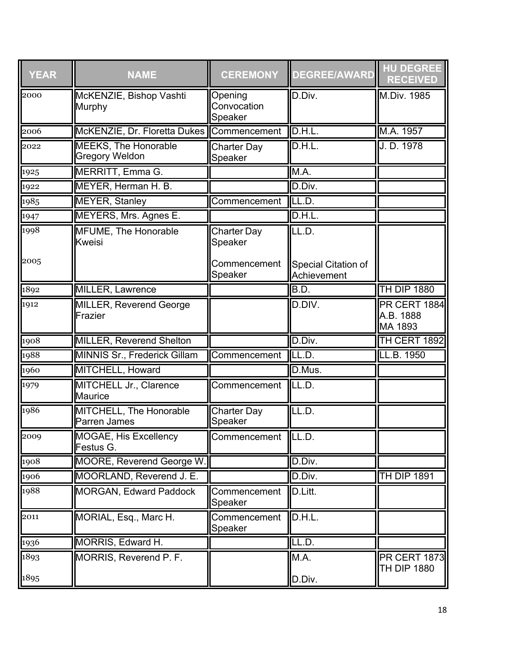| <b>YEAR</b> | <b>NAME</b>                                          | <b>CEREMONY</b>                   | <b>DEGREE/AWARD</b>                | <b>HU DEGREE</b><br><b>RECEIVED</b>         |
|-------------|------------------------------------------------------|-----------------------------------|------------------------------------|---------------------------------------------|
| 2000        | McKENZIE, Bishop Vashti<br>Murphy                    | Opening<br>Convocation<br>Speaker | D.Div.                             | M.Div. 1985                                 |
| 2006        | McKENZIE, Dr. Floretta Dukes                         | Commencement                      | ID.H.L.                            | M.A. 1957                                   |
| 2022        | <b>MEEKS, The Honorable</b><br><b>Gregory Weldon</b> | <b>Charter Day</b><br>Speaker     | D.H.L.                             | J. D. 1978                                  |
| 1925        | <b>MERRITT, Emma G.</b>                              |                                   | M.A.                               |                                             |
| 1922        | MEYER, Herman H. B.                                  |                                   | D.Div.                             |                                             |
| 1985        | <b>MEYER, Stanley</b>                                | Commencement                      | ILL.D.                             |                                             |
| 1947        | MEYERS, Mrs. Agnes E.                                |                                   | D.H.L.                             |                                             |
| 1998        | <b>MFUME, The Honorable</b><br><b>Kweisi</b>         | <b>Charter Day</b><br>Speaker     | LL.D.                              |                                             |
| 2005        |                                                      | Commencement<br>Speaker           | Special Citation of<br>Achievement |                                             |
| 1892        | MILLER, Lawrence                                     |                                   | B.D.                               | <b>TH DIP 1880</b>                          |
| 1912        | <b>MILLER, Reverend George</b><br>Frazier            |                                   | D.DIV.                             | <b>PR CERT 1884</b><br>A.B. 1888<br>MA 1893 |
| 1908        | <b>MILLER, Reverend Shelton</b>                      |                                   | D.Div.                             | TH CERT 1892                                |
| 1988        | <b>MINNIS Sr., Frederick Gillam</b>                  | Commencement                      | LL.D.                              | LL.B. 1950                                  |
| 1960        | MITCHELL, Howard                                     |                                   | D.Mus.                             |                                             |
| 1979        | MITCHELL Jr., Clarence<br><b>Maurice</b>             | Commencement                      | ILL.D.                             |                                             |
| 1986        | MITCHELL, The Honorable<br><b>Parren James</b>       | <b>Charter Day</b><br>Speaker     | LL.D.                              |                                             |
| 2009        | MOGAE, His Excellency<br>Festus G.                   | Commencement   LL.D.              |                                    |                                             |
| 1908        | <b>MOORE, Reverend George W.</b>                     |                                   | D.Div.                             |                                             |
| 1906        | MOORLAND, Reverend J. E.                             |                                   | D.Div.                             | <b>TH DIP 1891</b>                          |
| 1988        | <b>MORGAN, Edward Paddock</b>                        | Commencement<br>Speaker           | D.Litt.                            |                                             |
| 2011        | MORIAL, Esq., Marc H.                                | Commencement<br>Speaker           | D.H.L.                             |                                             |
| 1936        | MORRIS, Edward H.                                    |                                   | LL.D.                              |                                             |
| 1893        | MORRIS, Reverend P. F.                               |                                   | M.A.                               | <b>PR CERT 1873</b><br>TH DIP 1880          |
| 1895        |                                                      |                                   | D.Div.                             |                                             |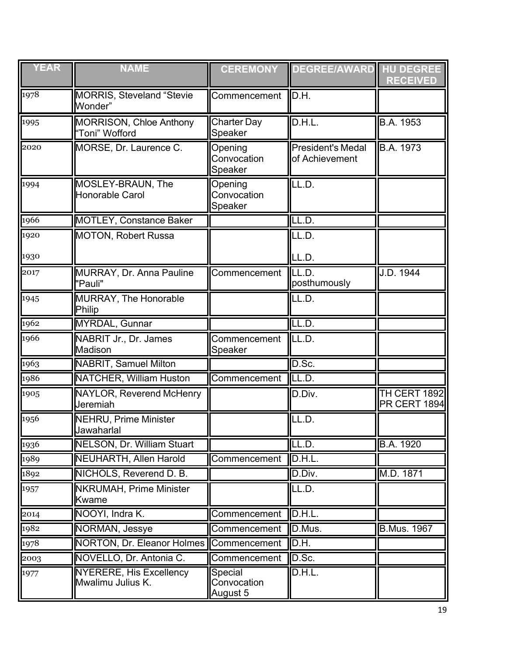| <b>YEAR</b>         | <b>NAME</b>                                         | <b>CEREMONY</b>                    | DEGREE/AWARD HU DEGREE                     | <b>RECEIVED</b>                     |
|---------------------|-----------------------------------------------------|------------------------------------|--------------------------------------------|-------------------------------------|
| 1978                | <b>MORRIS, Steveland "Stevie</b><br>Wonder"         | Commencement                       | D.H.                                       |                                     |
| $\sqrt{1995}$       | <b>MORRISON, Chloe Anthony</b><br>"Toni" Wofford    | <b>Charter Day</b><br>Speaker      | D.H.L.                                     | B.A. 1953                           |
| 2020                | MORSE, Dr. Laurence C.                              | Opening<br>Convocation<br>Speaker  | <b>President's Medal</b><br>of Achievement | B.A. 1973                           |
| 1994                | MOSLEY-BRAUN, The<br><b>Honorable Carol</b>         | Opening<br>Convocation<br>Speaker  | LL.D.                                      |                                     |
| 1966                | <b>MOTLEY, Constance Baker</b>                      |                                    | LL.D.                                      |                                     |
| $\overline{1920}$   | <b>MOTON, Robert Russa</b>                          |                                    | LL.D.                                      |                                     |
| 1930                |                                                     |                                    | LL.D.                                      |                                     |
| $ 2017\rangle$      | MURRAY, Dr. Anna Pauline<br>"Pauli"                 | Commencement                       | LL.D.<br>posthumously                      | J.D. 1944                           |
| 1945                | <b>MURRAY, The Honorable</b><br>Philip              |                                    | LL.D.                                      |                                     |
| 1962                | <b>MYRDAL, Gunnar</b>                               |                                    | LL.D.                                      |                                     |
| 1966                | NABRIT Jr., Dr. James<br><b>Madison</b>             | Commencement<br>Speaker            | LL.D.                                      |                                     |
| 1963                | <b>NABRIT, Samuel Milton</b>                        |                                    | D.Sc.                                      |                                     |
| 1986                | <b>NATCHER, William Huston</b>                      | Commencement                       | LL.D.                                      |                                     |
| 1905                | <b>NAYLOR, Reverend McHenry</b><br>Jeremiah         |                                    | D.Div.                                     | <b>TH CERT 1892</b><br>PR CERT 1894 |
| 1956                | <b>NEHRU, Prime Minister</b><br>Jawaharlal          |                                    | LL.D.                                      |                                     |
| $\frac{1936}{1936}$ | <b>NELSON, Dr. William Stuart</b>                   |                                    | LL.D.                                      | <b>B.A. 1920</b>                    |
| 1989                | <b>NEUHARTH, Allen Harold</b>                       | Commencement                       | D.H.L.                                     |                                     |
| 1892                | NICHOLS, Reverend D. B.                             |                                    | D.Div.                                     | M.D. 1871                           |
| 1957                | <b>NKRUMAH, Prime Minister</b><br><b>Kwame</b>      |                                    | LL.D.                                      |                                     |
| 2014                | NOOYI, Indra K.                                     | Commencement                       | D.H.L.                                     |                                     |
| $\sqrt{1982}$       | <b>NORMAN, Jessye</b>                               | Commencement                       | D.Mus.                                     | <b>B.Mus. 1967</b>                  |
| 1978                | NORTON, Dr. Eleanor Holmes Commencement             |                                    | D.H.                                       |                                     |
| 2003                | NOVELLO, Dr. Antonia C.                             | Commencement                       | D.Sc.                                      |                                     |
| 1977                | <b>NYERERE, His Excellency</b><br>Mwalimu Julius K. | Special<br>Convocation<br>August 5 | D.H.L.                                     |                                     |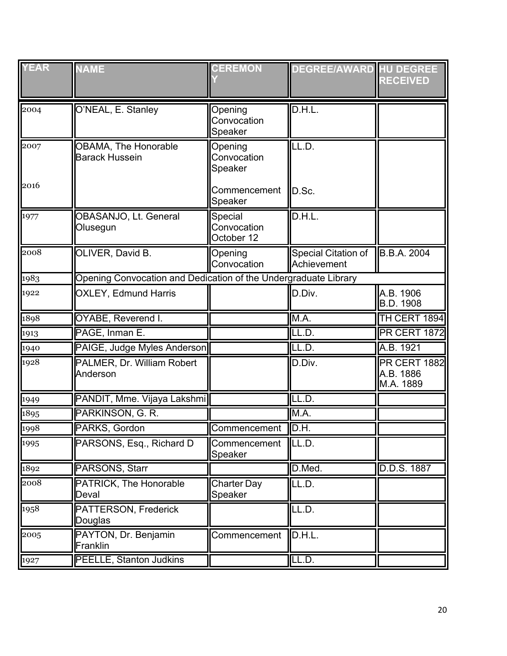| <b>YEAR</b> | <b>NAME</b>                                                     | <b>CEREMON</b>                       | <b>DEGREE/AWARD HU DEGREE</b>      | <b>RECEIVED</b>                        |
|-------------|-----------------------------------------------------------------|--------------------------------------|------------------------------------|----------------------------------------|
| 2004        | O'NEAL, E. Stanley                                              | Opening<br>Convocation<br>Speaker    | D.H.L.                             |                                        |
| 2007        | OBAMA, The Honorable<br><b>Barack Hussein</b>                   | Opening<br>Convocation<br>Speaker    | LL.D.                              |                                        |
| 2016        |                                                                 | Commencement<br>Speaker              | D.Sc.                              |                                        |
| 1977        | OBASANJO, Lt. General<br>Olusegun                               | Special<br>Convocation<br>October 12 | D.H.L.                             |                                        |
| 2008        | OLIVER, David B.                                                | Opening<br>Convocation               | Special Citation of<br>Achievement | <b>B.B.A. 2004</b>                     |
| 1983        | Opening Convocation and Dedication of the Undergraduate Library |                                      |                                    |                                        |
| 1922        | <b>OXLEY, Edmund Harris</b>                                     |                                      | D.Div.                             | A.B. 1906<br>B.D. 1908                 |
| 1898        | OYABE, Reverend I.                                              |                                      | M.A.                               | TH CERT 1894                           |
| 1913        | PAGE, Inman E.                                                  |                                      | LL.D.                              | <b>PR CERT 1872</b>                    |
| 1940        | PAIGE, Judge Myles Anderson                                     |                                      | LL.D.                              | A.B. 1921                              |
| 1928        | PALMER, Dr. William Robert<br>Anderson                          |                                      | D.Div.                             | PR CERT 1882<br>A.B. 1886<br>M.A. 1889 |
| 1949        | PANDIT, Mme. Vijaya Lakshmi                                     |                                      | LL.D.                              |                                        |
| 1895        | PARKINSON, G. R.                                                |                                      | M.A.                               |                                        |
| 1998        | PARKS, Gordon                                                   | Commencement                         | ID.H.                              |                                        |
| 1995        | PARSONS, Esq., Richard D                                        | Commencement<br>Speaker              | LL.D.                              |                                        |
| 1892        | PARSONS, Starr                                                  |                                      | D.Med.                             | D.D.S. 1887                            |
| 2008        | PATRICK, The Honorable<br>Deval                                 | <b>Charter Day</b><br>Speaker        | LL.D.                              |                                        |
| 1958        | PATTERSON, Frederick<br>Douglas                                 |                                      | LL.D.                              |                                        |
| 2005        | PAYTON, Dr. Benjamin<br>Franklin                                | Commencement                         | D.H.L.                             |                                        |
| 1927        | <b>PEELLE, Stanton Judkins</b>                                  |                                      | LL.D.                              |                                        |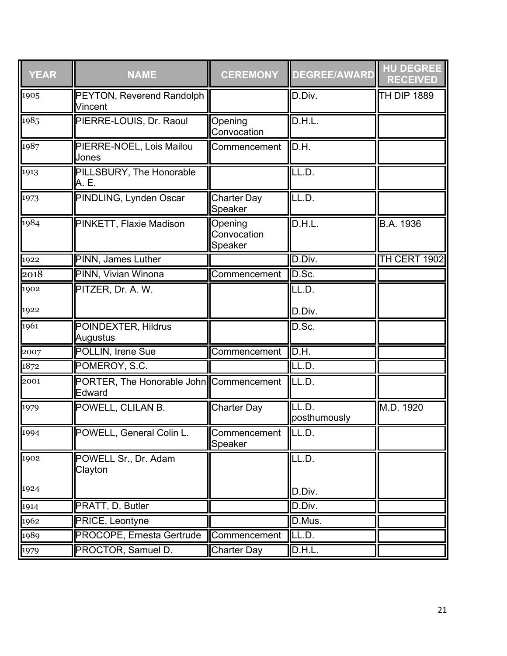| <b>YEAR</b> | <b>NAME</b>                                       | <b>CEREMONY</b>                   | <b>DEGREE/AWARD</b>        | <b>HU DEGREE</b><br><b>RECEIVED</b> |
|-------------|---------------------------------------------------|-----------------------------------|----------------------------|-------------------------------------|
| 1905        | PEYTON, Reverend Randolph<br>Vincent              |                                   | D.Div.                     | <b>TH DIP 1889</b>                  |
| 1985        | PIERRE-LOUIS, Dr. Raoul                           | Opening<br>Convocation            | D.H.L.                     |                                     |
| 1987        | PIERRE-NOEL, Lois Mailou<br>Jones                 | Commencement                      | D.H.                       |                                     |
| 1913        | PILLSBURY, The Honorable<br>A. E.                 |                                   | LL.D.                      |                                     |
| 1973        | PINDLING, Lynden Oscar                            | <b>Charter Day</b><br>Speaker     | LL.D.                      |                                     |
| 1984        | PINKETT, Flaxie Madison                           | Opening<br>Convocation<br>Speaker | D.H.L.                     | B.A. 1936                           |
| 1922        | PINN, James Luther                                |                                   | D.Div.                     | TH CERT 1902                        |
| 2018        | PINN, Vivian Winona                               | Commencement                      | D.Sc.                      |                                     |
| 1902        | PITZER, Dr. A. W.                                 |                                   | LL.D.                      |                                     |
| 1922        |                                                   |                                   | D.Div.                     |                                     |
| 1961        | <b>POINDEXTER, Hildrus</b><br>Augustus            |                                   | D.Sc.                      |                                     |
| 2007        | POLLIN, Irene Sue                                 | Commencement                      | $\overline{\mathsf{D.H.}}$ |                                     |
| 1872        | POMEROY, S.C.                                     |                                   | LL.D.                      |                                     |
| 2001        | PORTER, The Honorable John Commencement<br>Edward |                                   | ILL.D.                     |                                     |
| 1979        | POWELL, CLILAN B.                                 | <b>Charter Day</b>                | LL.D.<br>posthumously      | M.D. 1920                           |
| 1994        | POWELL, General Colin L.                          | Commencement   LL.D.<br>Speaker   |                            |                                     |
| 1902        | POWELL Sr., Dr. Adam<br>Clayton                   |                                   | LL.D.                      |                                     |
| 1924        |                                                   |                                   | D.Div.                     |                                     |
| 1914        | PRATT, D. Butler                                  |                                   | D.Div.                     |                                     |
| 1962        | PRICE, Leontyne                                   |                                   | D.Mus.                     |                                     |
| 1989        | <b>PROCOPE, Ernesta Gertrude</b>                  | Commencement                      | LL.D.                      |                                     |
| 1979        | PROCTOR, Samuel D.                                | <b>Charter Day</b>                | D.H.L.                     |                                     |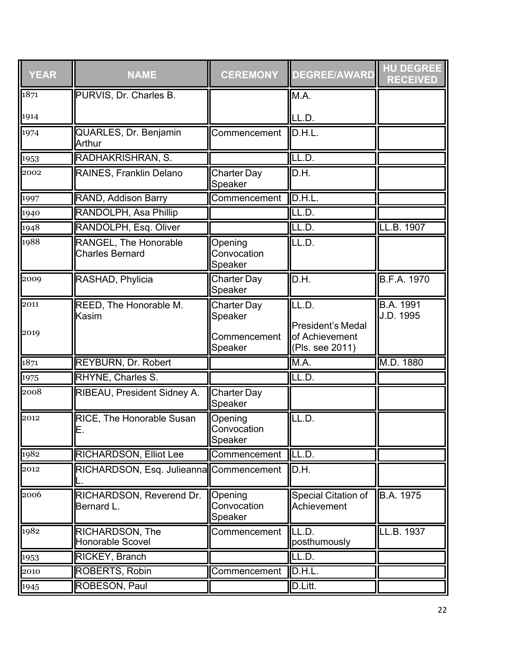| <b>YEAR</b> | <b>NAME</b>                                     | <b>CEREMONY</b>                           | <b>DEGREE/AWARD</b>                                           | <b>HU DEGREE</b><br><b>RECEIVED</b> |
|-------------|-------------------------------------------------|-------------------------------------------|---------------------------------------------------------------|-------------------------------------|
| 1871        | PURVIS, Dr. Charles B.                          |                                           | M.A.                                                          |                                     |
| 1914        |                                                 |                                           | LL.D.                                                         |                                     |
| 1974        | QUARLES, Dr. Benjamin<br>Arthur                 | Commencement                              | D.H.L.                                                        |                                     |
| 1953        | RADHAKRISHRAN, S.                               |                                           | LL.D.                                                         |                                     |
| 2002        | RAINES, Franklin Delano                         | <b>Charter Day</b><br>Speaker             | D.H.                                                          |                                     |
| 1997        | RAND, Addison Barry                             | Commencement                              | D.H.L.                                                        |                                     |
| 1940        | RANDOLPH, Asa Phillip                           |                                           | LL.D.                                                         |                                     |
| 1948        | RANDOLPH, Esq. Oliver                           |                                           | LL.D.                                                         | LL.B. 1907                          |
| 1988        | RANGEL, The Honorable<br><b>Charles Bernard</b> | Opening<br>Convocation<br>Speaker         | LL.D.                                                         |                                     |
| 2009        | RASHAD, Phylicia                                | <b>Charter Day</b><br>Speaker             | D.H.                                                          | <b>B.F.A. 1970</b>                  |
| 2011        | REED, The Honorable M.<br>Kasim                 | <b>Charter Day</b><br>Speaker             | LL.D.                                                         | <b>B.A. 1991</b><br>J.D. 1995       |
| 2019        |                                                 | Commencement<br>Speaker                   | <b>President's Medal</b><br>of Achievement<br>(Pls. see 2011) |                                     |
| 1871        | <b>REYBURN, Dr. Robert</b>                      |                                           | M.A.                                                          | M.D. 1880                           |
| 1975        | RHYNE, Charles S.                               |                                           | LL.D.                                                         |                                     |
| 2008        | RIBEAU, President Sidney A.                     | <b>Charter Day</b><br>Speaker             |                                                               |                                     |
| 2012        | RICE, The Honorable Susan<br>E                  | Opening<br><b>IConvocation</b><br>Speaker | LL.D.                                                         |                                     |
| 1982        | <b>RICHARDSON, Elliot Lee</b>                   | Commencement                              | LL.D.                                                         |                                     |
| 2012        | RICHARDSON, Esq. Julieanna Commencement         |                                           | D.H.                                                          |                                     |
| 2006        | RICHARDSON, Reverend Dr.<br>Bernard L.          | Opening<br>Convocation<br>Speaker         | Special Citation of<br>Achievement                            | B.A. 1975                           |
| 1982        | RICHARDSON, The<br><b>Honorable Scovel</b>      | Commencement                              | LL.D.<br>posthumously                                         | LL.B. 1937                          |
| 1953        | RICKEY, Branch                                  |                                           | LL.D.                                                         |                                     |
| 2010        | ROBERTS, Robin                                  | Commencement                              | D.H.L.                                                        |                                     |
| 1945        | ROBESON, Paul                                   |                                           | D.Litt.                                                       |                                     |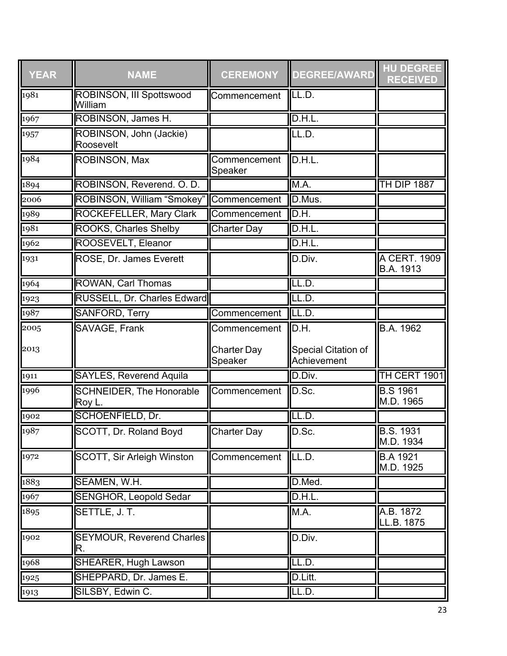| <b>YEAR</b>   | <b>NAME</b>                               | <b>CEREMONY</b>               | <b>DEGREE/AWARD</b>                | <b>HU DEGREE</b><br><b>RECEIVED</b> |
|---------------|-------------------------------------------|-------------------------------|------------------------------------|-------------------------------------|
| 1981          | ROBINSON, III Spottswood<br>William       | Commencement                  | LL.D.                              |                                     |
| 1967          | ROBINSON, James H.                        |                               | D.H.L.                             |                                     |
| 1957          | ROBINSON, John (Jackie)<br>Roosevelt      |                               | LL.D.                              |                                     |
| 1984          | ROBINSON, Max                             | Commencement<br>Speaker       | D.H.L.                             |                                     |
| 1894          | ROBINSON, Reverend. O. D.                 |                               | M.A.                               | <b>TH DIP 1887</b>                  |
| 2006          | ROBINSON, William "Smokey"                | Commencement                  | D.Mus.                             |                                     |
| 1989          | <b>ROCKEFELLER, Mary Clark</b>            | Commencement                  | D.H.                               |                                     |
| 1981          | <b>ROOKS, Charles Shelby</b>              | <b>Charter Day</b>            | D.H.L.                             |                                     |
| 1962          | ROOSEVELT, Eleanor                        |                               | D.H.L.                             |                                     |
| 1931          | ROSE, Dr. James Everett                   |                               | D.Div.                             | A CERT. 1909<br>B.A. 1913           |
| 1964          | ROWAN, Carl Thomas                        |                               | LL.D.                              |                                     |
| 1923          | RUSSELL, Dr. Charles Edward               |                               | LL.D.                              |                                     |
| 1987          | <b>SANFORD, Terry</b>                     | Commencement                  | $\overline{\mathsf{ILL.D}}$ .      |                                     |
| 2005          | SAVAGE, Frank                             | Commencement                  | D.H.                               | B.A. 1962                           |
| 2013          |                                           | <b>Charter Day</b><br>Speaker | Special Citation of<br>Achievement |                                     |
| 1911          | <b>SAYLES, Reverend Aquila</b>            |                               | D.Div.                             | TH CERT 1901                        |
| 1996          | <b>SCHNEIDER, The Honorable</b><br>Roy L. | Commencement                  | D.Sc.                              | <b>B.S 1961</b><br>M.D. 1965        |
| 1902          | <b>SCHOENFIELD, Dr.</b>                   |                               | LL.D.                              |                                     |
| 1987          | SCOTT, Dr. Roland Boyd                    | <b>Charter Day</b>            | D.Sc.                              | <b>B.S. 1931</b><br>M.D. 1934       |
| 1972          | <b>SCOTT, Sir Arleigh Winston</b>         | Commencement                  | LL.D.                              | <b>B.A 1921</b><br>M.D. 1925        |
| 1883          | SEAMEN, W.H.                              |                               | D.Med.                             |                                     |
| $\sqrt{1967}$ | <b>SENGHOR, Leopold Sedar</b>             |                               | D.H.L                              |                                     |
| 1895          | SETTLE, J. T.                             |                               | M.A.                               | A.B. 1872<br>LL.B. 1875             |
| 1902          | <b>SEYMOUR, Reverend Charles</b><br>R.    |                               | D.Div.                             |                                     |
| 1968          | <b>SHEARER, Hugh Lawson</b>               |                               | LL.D.                              |                                     |
| $\sqrt{1925}$ | SHEPPARD, Dr. James E.                    |                               | D.Litt.                            |                                     |
| 1913          | SILSBY, Edwin C.                          |                               | LL.D.                              |                                     |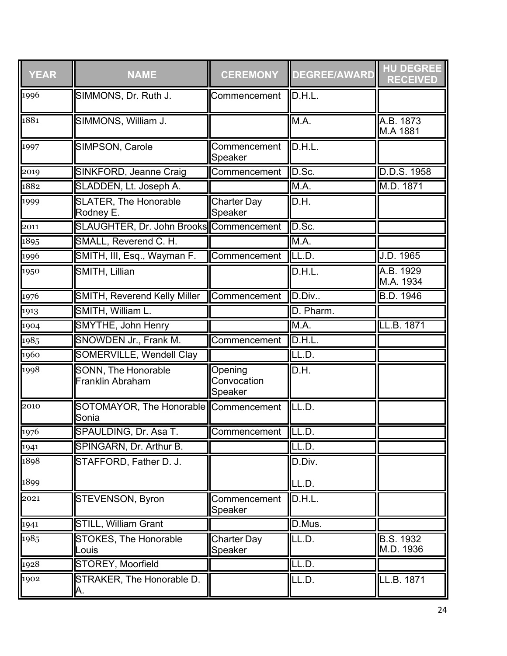| <b>YEAR</b>   | <b>NAME</b>                                    | <b>CEREMONY</b>                   | <b>DEGREE/AWARD</b> | <b>HU DEGREE</b><br><b>RECEIVED</b> |
|---------------|------------------------------------------------|-----------------------------------|---------------------|-------------------------------------|
| 1996          | SIMMONS, Dr. Ruth J.                           | Commencement                      | D.H.L.              |                                     |
| 1881          | SIMMONS, William J.                            |                                   | M.A.                | A.B. 1873<br>M.A 1881               |
| 1997          | SIMPSON, Carole                                | Commencement<br>Speaker           | D.H.L.              |                                     |
| 2019          | <b>SINKFORD, Jeanne Craig</b>                  | Commencement                      | D.Sc.               | D.D.S. 1958                         |
| 1882          | SLADDEN, Lt. Joseph A.                         |                                   | M.A.                | M.D. 1871                           |
| 1999          | <b>SLATER, The Honorable</b><br>Rodney E.      | <b>Charter Day</b><br>Speaker     | D.H.                |                                     |
| 2011          | SLAUGHTER, Dr. John Brooks Commencement        |                                   | D.Sc.               |                                     |
| 1895          | SMALL, Reverend C. H.                          |                                   | M.A.                |                                     |
| 1996          | SMITH, III, Esq., Wayman F.                    | Commencement                      | LL.D.               | J.D. 1965                           |
| 1950          | SMITH, Lillian                                 |                                   | D.H.L.              | A.B. 1929<br>M.A. 1934              |
| 1976          | <b>SMITH, Reverend Kelly Miller</b>            | Commencement                      | D.Div               | <b>B.D. 1946</b>                    |
| 1913          | SMITH, William L.                              |                                   | D. Pharm.           |                                     |
| $\sqrt{1904}$ | <b>SMYTHE, John Henry</b>                      |                                   | M.A.                | LL.B. 1871                          |
| 1985          | SNOWDEN Jr., Frank M.                          | Commencement                      | D.H.L               |                                     |
| 1960          | <b>SOMERVILLE, Wendell Clay</b>                |                                   | LL.D.               |                                     |
| 1998          | SONN, The Honorable<br><b>Franklin Abraham</b> | Opening<br>Convocation<br>Speaker | D.H.                |                                     |
| 2010          | SOTOMAYOR, The Honorable Commencement<br>Sonia |                                   | LL.D.               |                                     |
| 1976          | SPAULDING, Dr. Asa T.                          | Commencement LL.D.                |                     |                                     |
| 1941          | SPINGARN, Dr. Arthur B.                        |                                   | LL.D.               |                                     |
| 1898          | STAFFORD, Father D. J.                         |                                   | D.Div.              |                                     |
| 1899          |                                                |                                   | LL.D.               |                                     |
| 2021          | STEVENSON, Byron                               | Commencement<br>Speaker           | D.H.L.              |                                     |
| 1941          | <b>STILL, William Grant</b>                    |                                   | D.Mus.              |                                     |
| 1985          | STOKES, The Honorable<br>Louis                 | Charter Day<br>Speaker            | LL.D.               | <b>B.S. 1932</b><br>M.D. 1936       |
| 1928          | STOREY, Moorfield                              |                                   | LL.D.               |                                     |
| 1902          | STRAKER, The Honorable D.<br>Α.                |                                   | LL.D.               | LL.B. 1871                          |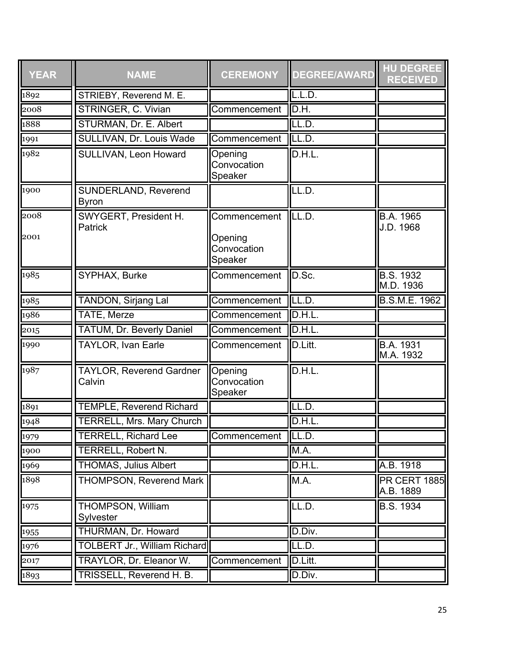| <b>YEAR</b>  | <b>NAME</b>                                 | <b>CEREMONY</b>                                   | <b>DEGREE/AWARD</b> | <b>HU DEGREE</b><br><b>RECEIVED</b> |
|--------------|---------------------------------------------|---------------------------------------------------|---------------------|-------------------------------------|
| 1892         | STRIEBY, Reverend M. E.                     |                                                   | L.L.D.              |                                     |
| 2008         | <b>STRINGER, C. Vivian</b>                  | Commencement                                      | D.H.                |                                     |
| 1888         | STURMAN, Dr. E. Albert                      |                                                   | LL.D.               |                                     |
| 1991         | SULLIVAN, Dr. Louis Wade                    | Commencement                                      | LL.D.               |                                     |
| 1982         | SULLIVAN, Leon Howard                       | Opening<br>Convocation<br>Speaker                 | D.H.L.              |                                     |
| 1900         | <b>SUNDERLAND, Reverend</b><br><b>Byron</b> |                                                   | LL.D.               |                                     |
| 2008<br>2001 | SWYGERT, President H.<br>Patrick            | Commencement<br>Opening<br>Convocation<br>Speaker | LL.D.               | <b>B.A.</b> 1965<br>J.D. 1968       |
| 1985         | SYPHAX, Burke                               | Commencement                                      | D.Sc.               | <b>B.S. 1932</b><br>M.D. 1936       |
| 1985         | <b>TANDON, Sirjang Lal</b>                  | Commencement                                      | LL.D.               | B.S.M.E. 1962                       |
| 1986         | <b>TATE, Merze</b>                          | Commencement                                      | D.H.L.              |                                     |
| 2015         | <b>TATUM, Dr. Beverly Daniel</b>            | Commencement                                      | D.H.L.              |                                     |
| 1990         | <b>TAYLOR, Ivan Earle</b>                   | Commencement                                      | D.Litt.             | B.A. 1931<br>M.A. 1932              |
| 1987         | <b>TAYLOR, Reverend Gardner</b><br>Calvin   | Opening<br>Convocation<br>Speaker                 | D.H.L.              |                                     |
| 1891         | <b>TEMPLE, Reverend Richard</b>             |                                                   | LL.D.               |                                     |
| 1948         | <b>TERRELL, Mrs. Mary Church</b>            |                                                   | D.H.L               |                                     |
| 1979         | TERRELL, Richard Lee                        | Commencement                                      | $\Pi$ .             |                                     |
| 1900         | <b>TERRELL, Robert N.</b>                   |                                                   | M.A.                |                                     |
| 1969         | <b>THOMAS, Julius Albert</b>                |                                                   | D.H.L.              | A.B. 1918                           |
| 1898         | <b>THOMPSON, Reverend Mark</b>              |                                                   | M.A.                | <b>PR CERT 1885</b><br>A.B. 1889    |
| 1975         | THOMPSON, William<br>Sylvester              |                                                   | LL.D.               | <b>B.S. 1934</b>                    |
| 1955         | THURMAN, Dr. Howard                         |                                                   | D.Div.              |                                     |
| 1976         | <b>TOLBERT Jr., William Richard</b>         |                                                   | LL.D.               |                                     |
| 2017         | TRAYLOR, Dr. Eleanor W.                     | Commencement                                      | D.Litt.             |                                     |
| 1893         | TRISSELL, Reverend H. B.                    |                                                   | D.Div.              |                                     |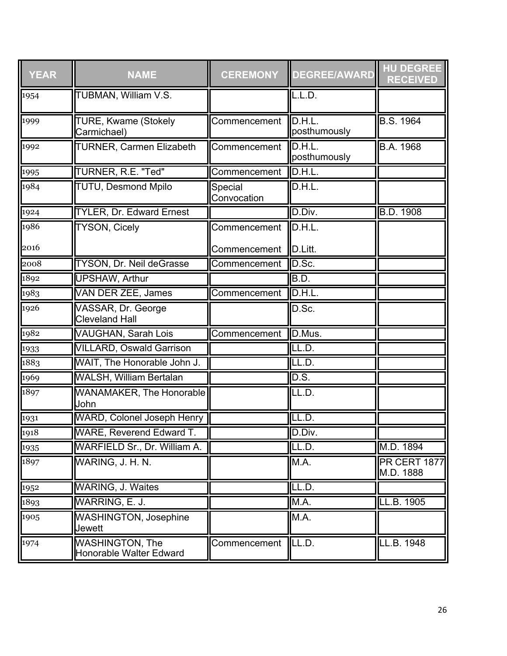| <b>YEAR</b> | <b>NAME</b>                                       | <b>CEREMONY</b>        | <b>DEGREE/AWARD</b>    | <b>HU DEGREE</b><br><b>RECEIVED</b> |
|-------------|---------------------------------------------------|------------------------|------------------------|-------------------------------------|
| 1954        | TUBMAN, William V.S.                              |                        | L.L.D.                 |                                     |
| 1999        | <b>TURE, Kwame (Stokely</b><br>Carmichael)        | Commencement           | D.H.L.<br>posthumously | <b>B.S. 1964</b>                    |
| 1992        | <b>TURNER, Carmen Elizabeth</b>                   | Commencement           | D.H.L.<br>posthumously | B.A. 1968                           |
| 1995        | TURNER, R.E. "Ted"                                | Commencement           | D.H.L.                 |                                     |
| 1984        | <b>TUTU, Desmond Mpilo</b>                        | Special<br>Convocation | D.H.L.                 |                                     |
| 1924        | <b>TYLER, Dr. Edward Ernest</b>                   |                        | D.Div.                 | <b>B.D. 1908</b>                    |
| 1986        | <b>TYSON, Cicely</b>                              | Commencement           | D.H.L.                 |                                     |
| 2016        |                                                   | Commencement           | D.Litt.                |                                     |
| 2008        | <b>TYSON, Dr. Neil deGrasse</b>                   | Commencement           | D.Sc.                  |                                     |
| 1892        | <b>UPSHAW, Arthur</b>                             |                        | B.D.                   |                                     |
| 1983        | <b>VAN DER ZEE, James</b>                         | Commencement           | D.H.L.                 |                                     |
| 1926        | VASSAR, Dr. George<br><b>Cleveland Hall</b>       |                        | D.Sc.                  |                                     |
| 1982        | <b>VAUGHAN, Sarah Lois</b>                        | Commencement           | D.Mus.                 |                                     |
| 1933        | <b>VILLARD, Oswald Garrison</b>                   |                        | LL.D.                  |                                     |
| 1883        | WAIT, The Honorable John J.                       |                        | LL.D.                  |                                     |
| 1969        | <b>WALSH, William Bertalan</b>                    |                        | DS.                    |                                     |
| 1897        | WANAMAKER, The Honorable<br>John                  |                        | ILL.D.                 |                                     |
| 1931        | <b>WARD, Colonel Joseph Henry</b>                 |                        | LL.D.                  |                                     |
| 1918        | <b>WARE, Reverend Edward T.</b>                   |                        | D.Div.                 |                                     |
| 1935        | WARFIELD Sr., Dr. William A.                      |                        | LL.D.                  | M.D. 1894                           |
| 1897        | WARING, J. H. N.                                  |                        | M.A.                   | <b>PR CERT 1877</b><br>M.D. 1888    |
| 1952        | <b>WARING, J. Waites</b>                          |                        | LL.D.                  |                                     |
| 1893        | WARRING, E. J.                                    |                        | M.A.                   | LL.B. 1905                          |
| 1905        | <b>WASHINGTON, Josephine</b><br>Jewett            |                        | M.A.                   |                                     |
| 1974        | <b>WASHINGTON, The</b><br>Honorable Walter Edward | Commencement           | LL.D.                  | LL.B. 1948                          |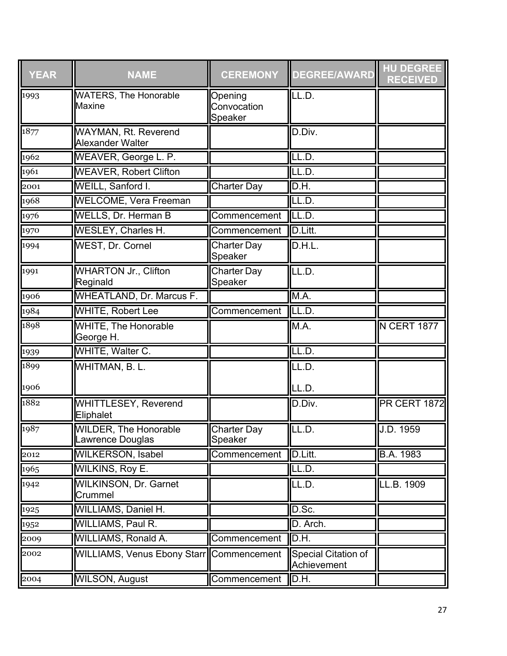| <b>YEAR</b> | <b>NAME</b>                                      | <b>CEREMONY</b>                   | <b>DEGREE/AWARD</b>                | <b>HU DEGREE</b><br><b>RECEIVED</b> |
|-------------|--------------------------------------------------|-----------------------------------|------------------------------------|-------------------------------------|
| 1993        | <b>WATERS, The Honorable</b><br>Maxine           | Opening<br>Convocation<br>Speaker | LL.D.                              |                                     |
| 1877        | <b>WAYMAN, Rt. Reverend</b><br>Alexander Walter  |                                   | D.Div.                             |                                     |
| 1962        | WEAVER, George L. P.                             |                                   | LL.D.                              |                                     |
| 1961        | <b>WEAVER, Robert Clifton</b>                    |                                   | LL.D.                              |                                     |
| 2001        | WEILL, Sanford I.                                | <b>Charter Day</b>                | D.H.                               |                                     |
| 1968        | <b>WELCOME, Vera Freeman</b>                     |                                   | LL.D.                              |                                     |
| 1976        | <b>WELLS, Dr. Herman B</b>                       | Commencement                      | LL.D.                              |                                     |
| 1970        | <b>WESLEY, Charles H.</b>                        | Commencement                      | D.Litt.                            |                                     |
| 1994        | WEST, Dr. Cornel                                 | Charter Day<br>Speaker            | D.H.L.                             |                                     |
| 1991        | <b>WHARTON Jr., Clifton</b><br>Reginald          | <b>Charter Day</b><br>Speaker     | LL.D.                              |                                     |
| 1906        | <b>WHEATLAND, Dr. Marcus F.</b>                  |                                   | M.A.                               |                                     |
| 1984        | <b>WHITE, Robert Lee</b>                         | Commencement                      | LL.D.                              |                                     |
| 1898        | WHITE, The Honorable<br>George H.                |                                   | M.A.                               | <b>N CERT 1877</b>                  |
| 1939        | WHITE, Walter C.                                 |                                   | LL.D.                              |                                     |
| 1899        | WHITMAN, B. L.                                   |                                   | LL.D.                              |                                     |
| 1906        |                                                  |                                   | LL.D.                              |                                     |
| 1882        | <b>WHITTLESEY, Reverend</b><br>Eliphalet         |                                   | D.Div.                             | <b>PR CERT 1872</b>                 |
| 1987        | <b>WILDER, The Honorable</b><br>Lawrence Douglas | Charter Day<br>Speaker            | ILL.D.                             | J.D. 1959                           |
| 2012        | <b>WILKERSON, Isabel</b>                         | Commencement                      | D.Litt.                            | B.A. 1983                           |
| 1965        | <b>WILKINS, Roy E.</b>                           |                                   | LL.D.                              |                                     |
| 1942        | <b>WILKINSON, Dr. Garnet</b><br>Crummel          |                                   | LL.D.                              | LL.B. 1909                          |
| 1925        | WILLIAMS, Daniel H.                              |                                   | D.Sc.                              |                                     |
| 1952        | WILLIAMS, Paul R.                                |                                   | D. Arch.                           |                                     |
| 2009        | <b>WILLIAMS, Ronald A.</b>                       | Commencement                      | D.H.                               |                                     |
| 2002        | <b>WILLIAMS, Venus Ebony Starr</b>               | Commencement                      | Special Citation of<br>Achievement |                                     |
| 2004        | <b>WILSON, August</b>                            | Commencement                      | D.H.                               |                                     |